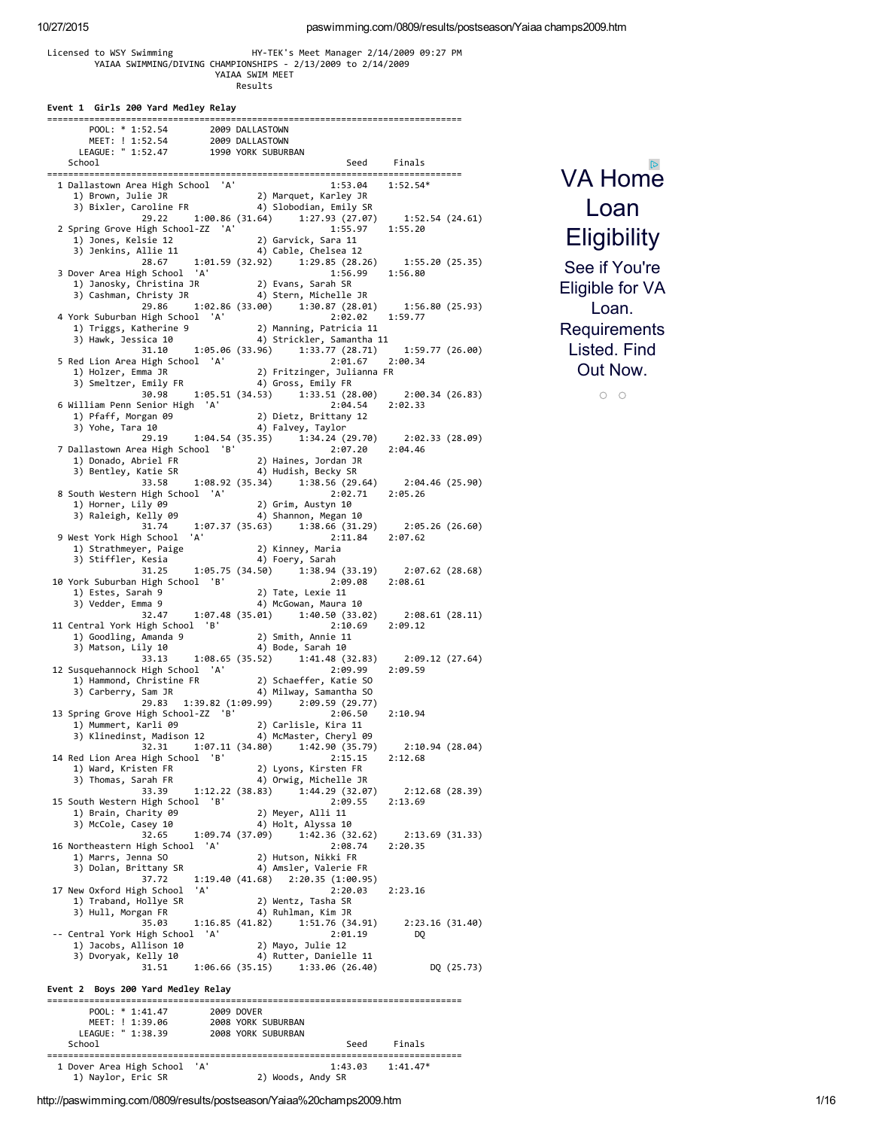#### Licensed to WSY Swimming HY-TEK's Meet Manager 2/14/2009 09:27 PM YAIAA SWIMMING/DIVING CHAMPIONSHIPS - 2/13/2009 to 2/14/2009 YAIAA SWIM MEET Results

| Event 1 Girls 200 Yard Medley Relay |  |  |  |  |  |
|-------------------------------------|--|--|--|--|--|
|-------------------------------------|--|--|--|--|--|

| School                                                                                                                                                                            |                                                                                                                                                                                                                                                           |
|-----------------------------------------------------------------------------------------------------------------------------------------------------------------------------------|-----------------------------------------------------------------------------------------------------------------------------------------------------------------------------------------------------------------------------------------------------------|
|                                                                                                                                                                                   | Seed Finals                                                                                                                                                                                                                                               |
|                                                                                                                                                                                   | $1:53.04$ $1:52.54*$                                                                                                                                                                                                                                      |
|                                                                                                                                                                                   |                                                                                                                                                                                                                                                           |
|                                                                                                                                                                                   |                                                                                                                                                                                                                                                           |
|                                                                                                                                                                                   | 29.22 1:00.86 (31.64) 1:27.93 (27.07) 1:52.54 (24.61)                                                                                                                                                                                                     |
|                                                                                                                                                                                   |                                                                                                                                                                                                                                                           |
|                                                                                                                                                                                   |                                                                                                                                                                                                                                                           |
|                                                                                                                                                                                   | 2 Spring Grove High School-ZZ 'A' 1:55.97 1:55.20<br>1) Jones, Kelsie 12 2) Garvick, Sara 11<br>3) Jenkins, Allie 11 4) Cable, Chelsea 12<br>28.67 1:01.59 (32.92) 1:29.85 (28.26) 1:55.20 (25.35)                                                        |
| 3 Dover Area High School 'A'                                                                                                                                                      | 1:56.99 1:56.80                                                                                                                                                                                                                                           |
|                                                                                                                                                                                   |                                                                                                                                                                                                                                                           |
|                                                                                                                                                                                   |                                                                                                                                                                                                                                                           |
|                                                                                                                                                                                   |                                                                                                                                                                                                                                                           |
| 4 York Suburban High School 'A'                                                                                                                                                   |                                                                                                                                                                                                                                                           |
|                                                                                                                                                                                   | 1) Triggs, Katherine 9<br>1) Triggs, Katherine 9<br>3) Hawk, Jessica 10 1 4) Strickler, Samantha 11                                                                                                                                                       |
|                                                                                                                                                                                   |                                                                                                                                                                                                                                                           |
|                                                                                                                                                                                   | 31.10 1:05.06 (33.96) 1:33.77 (28.71) 1:59.77 (26.00)                                                                                                                                                                                                     |
| 5 Red Lion Area High School 'A'                                                                                                                                                   |                                                                                                                                                                                                                                                           |
|                                                                                                                                                                                   |                                                                                                                                                                                                                                                           |
|                                                                                                                                                                                   |                                                                                                                                                                                                                                                           |
| 6 William Penn Senior High 'A'                                                                                                                                                    | 19 (del Lion Area High School 'A' 2:01.07<br>1) Holzer, Emma JR 2) Fritzinger, Julianna FR<br>3) Smeltzer, Emily FR 4) Gross, Emily FR<br>30.98 1:05.51 (34.53) 1:33.51 (28.00) 2:00.34 (26.83)<br>1:33.51 1:33.51 (34.53) 1:33.51 (28<br>2:04.54 2:02.33 |
| 1111am Penn Senior High And Marshall (1111am Penn Senior High Alexandr 2) Dietz, Brittany 12<br>1) Pfaff, Morgan 09 (2) Dietz, Brittany 12<br>3) Yohe, Tara 10 (4) Falvey, Taylor |                                                                                                                                                                                                                                                           |
|                                                                                                                                                                                   |                                                                                                                                                                                                                                                           |
|                                                                                                                                                                                   | $29.19$ 1:04.54 (35.35) 1:34.24 (29.70) 2:02.33 (28.09)<br>ea High School 'B' 2:07.20 2:04.46                                                                                                                                                             |
|                                                                                                                                                                                   | 7 Dallastown Area High School 'B'<br>1) Donado, Abriel FR 2) Haines, Jordan JR<br>3) Bentley, Katie SR 4) Hudish, Becky SR<br>33.58 1:08.92 (35.34) 1:38.56 (29.64) 2:04.46 (25.90)<br>2:04.46 (25.90)                                                    |
|                                                                                                                                                                                   |                                                                                                                                                                                                                                                           |
|                                                                                                                                                                                   |                                                                                                                                                                                                                                                           |
|                                                                                                                                                                                   |                                                                                                                                                                                                                                                           |
| 8 South Western High School 'A'                                                                                                                                                   |                                                                                                                                                                                                                                                           |
|                                                                                                                                                                                   |                                                                                                                                                                                                                                                           |
|                                                                                                                                                                                   | Volth Western High School A<br>1) Horner, Lily 09<br>3) Raleigh, Kelly 09<br>31.74 1:07.37 (35.63) 1:38.66 (31.29) 2:05.26 (26.60)                                                                                                                        |
|                                                                                                                                                                                   | 31.74 1.0.1<br>9 West York High School 'A'<br>1) Strathmeyer, Paige 2) Kinney, Maria<br>3) Stiffler, Kesia<br>31.25 1.05.75 (34.50) 1:38.94 (33.19) 2:07.62 (28.68)<br><sup>1</sup> :34 5chool 'B'<br><sup>1</sup> :81<br>2:09.08 2:08.61                 |
|                                                                                                                                                                                   |                                                                                                                                                                                                                                                           |
|                                                                                                                                                                                   |                                                                                                                                                                                                                                                           |
|                                                                                                                                                                                   |                                                                                                                                                                                                                                                           |
| 10 York Suburban High School 'B' 2) Tate, Lexie 11<br>1) Estes, Sarah 9 2) Tate, Lexie 11<br>3) Vedder, Emma 9 4) McGowan, Maura 10                                               |                                                                                                                                                                                                                                                           |
|                                                                                                                                                                                   |                                                                                                                                                                                                                                                           |
|                                                                                                                                                                                   |                                                                                                                                                                                                                                                           |
|                                                                                                                                                                                   | 32.47 1:07.48 (35.01) 1:40.50 (33.02) 2:08.61 (28.11)<br>High School B' 2:10.69 2:09.12                                                                                                                                                                   |
| 11 Central York High School 'B'                                                                                                                                                   |                                                                                                                                                                                                                                                           |
|                                                                                                                                                                                   |                                                                                                                                                                                                                                                           |
|                                                                                                                                                                                   |                                                                                                                                                                                                                                                           |
| 12 Susquehannock High School 'A'                                                                                                                                                  | 33.13   1:08.65   (35.52) $1:41.48$ (32.83)   2:09.12   (27.64)<br>High School 'A'   2:09.99   2:09.59                                                                                                                                                    |
| Usquehannock High School (A)<br>1) Hammond, Christine FR (2) Schaeffer, Katie SO<br>3) Carberry, Sam JR (4) Milway, Samantha SO                                                   |                                                                                                                                                                                                                                                           |
|                                                                                                                                                                                   |                                                                                                                                                                                                                                                           |
|                                                                                                                                                                                   | 29.83 1:39.82 (1:09.99) 2:09.59 (29.77)                                                                                                                                                                                                                   |
| 13 Spring Grove High School-ZZ 'B'                                                                                                                                                | 2:06.50 2:10.94                                                                                                                                                                                                                                           |
|                                                                                                                                                                                   |                                                                                                                                                                                                                                                           |
|                                                                                                                                                                                   |                                                                                                                                                                                                                                                           |
|                                                                                                                                                                                   | 2:10.94 (28.04)<br>32.31   1:07.11   (34.80)   1:42.90   (35.79)                                                                                                                                                                                          |
| 14 Red Lion Area High School 'B'                                                                                                                                                  | 2:15.15<br>2:12.68                                                                                                                                                                                                                                        |
| 1) Ward, Kristen FR<br>3) Thomas, Sarah FR                                                                                                                                        | 2) Lyons, Kirsten FR<br>4) Orwig, Michelle JR                                                                                                                                                                                                             |
| 33.39                                                                                                                                                                             | 1:12.22 (38.83)<br>1:44.29(32.07)<br>2:12.68(28.39)                                                                                                                                                                                                       |
| 15 South Western High School 'B'                                                                                                                                                  | 2:09.55<br>2:13.69                                                                                                                                                                                                                                        |
| 1) Brain, Charity 09                                                                                                                                                              | 2) Meyer, Alli 11                                                                                                                                                                                                                                         |
| 3) McCole, Casey 10                                                                                                                                                               | 4) Holt, Alyssa 10                                                                                                                                                                                                                                        |
| 32.65                                                                                                                                                                             | 1:09.74 (37.09)<br>1:42.36 (32.62)<br>2:13.69(31.33)                                                                                                                                                                                                      |
| 16 Northeastern High School 'A'                                                                                                                                                   | 2:08.74<br>2:20.35                                                                                                                                                                                                                                        |
| 1) Marrs, Jenna SO                                                                                                                                                                | 2) Hutson, Nikki FR                                                                                                                                                                                                                                       |
| 3) Dolan, Brittany SR                                                                                                                                                             | 4) Amsler, Valerie FR                                                                                                                                                                                                                                     |
| 37.72                                                                                                                                                                             | 1:19.40 (41.68) 2:20.35 (1:00.95)                                                                                                                                                                                                                         |
| 17 New Oxford High School<br>'A'                                                                                                                                                  | 2:20.03<br>2:23.16                                                                                                                                                                                                                                        |
| 1) Traband, Hollye SR                                                                                                                                                             | 2) Wentz, Tasha SR                                                                                                                                                                                                                                        |
| 3) Hull, Morgan FR<br>35.03                                                                                                                                                       | 4) Ruhlman, Kim JR<br>1:51.76 (34.91)<br>1:16.85(41.82)                                                                                                                                                                                                   |
| -- Central York High School 'A'                                                                                                                                                   | 2:23.16 (31.40)<br>2:01.19<br>DQ                                                                                                                                                                                                                          |
| 1) Jacobs, Allison 10                                                                                                                                                             | 2) Mayo, Julie 12                                                                                                                                                                                                                                         |
| 3) Dvoryak, Kelly 10                                                                                                                                                              | 4) Rutter, Danielle 11                                                                                                                                                                                                                                    |
| 31.51                                                                                                                                                                             | $1:06.66(35.15)$ $1:33.06(26.40)$<br>DQ (25.73)                                                                                                                                                                                                           |
|                                                                                                                                                                                   |                                                                                                                                                                                                                                                           |
| Event 2 Boys 200 Yard Medley Relay                                                                                                                                                |                                                                                                                                                                                                                                                           |
|                                                                                                                                                                                   |                                                                                                                                                                                                                                                           |
| POOL: $* 1:41.47$                                                                                                                                                                 | 2009 DOVER                                                                                                                                                                                                                                                |
| MEET: ! 1:39.06                                                                                                                                                                   | 2008 YORK SUBURBAN<br>2008 YORK SUBURBAN                                                                                                                                                                                                                  |
| LEAGUE: " 1:38.39                                                                                                                                                                 |                                                                                                                                                                                                                                                           |
| School                                                                                                                                                                            | Finals<br>Seed                                                                                                                                                                                                                                            |

# VA Home Loan **[Eligibility](https://googleads.g.doubleclick.net/aclk?sa=l&ai=CnUAJXJovVvnQCab77AaKhIPwC6TJtaMHhNm89b8CjfeiijMQASCN5IQDYMmejozQpNwRoAGUm_HpA8gBAagDAcgD4wSqBKQBT9CtLTlYmIYJwKiTFxbq_JiVWnhPqGiQjH18DKlLttu7PWgc4V7ASIUCZ9RGwtaIl93C67htBHkw7U3PSmw0OzEnlKOlKZWwogQIrVlwcCWnQoHuXfPfHquk_8jqzYyCspEQPWKqd-cCRh_KWXrPdl8xOUiji6mc3qi0tYUFKb5zziltRcaRIKPUYZ40qlVVReEcCai9rxdEn6IISg_Btch1reaAB9TkjhaoB6a-G6gHtcEb2AcB2BMN&num=1&sig=AOD64_2wpuaunlUDgDQg4cLj4jeDQO9Ijw&client=ca-pub-2386750526635199&adurl=https://www.veteransunited.com/welcome-pages/va-loan-apply/%3Fsrc%3Dadwct%26adg%3Dtopcl%26desc%3Deligibility%26st-t%3Dadwords-dsp%26vt-d%3Dc%26k_clickid%3D_kenshoo_clickid_)**

See if You're Eligible for VA Loan. **Requirements** Listed. Find Out Now.

 $\circ$   $\circ$ 

=============================================================================== 1 Dover Area High School 'A' 1:43.03 1:41.47\* 1) Naylor, Eric SR 2) Woods, Andy SR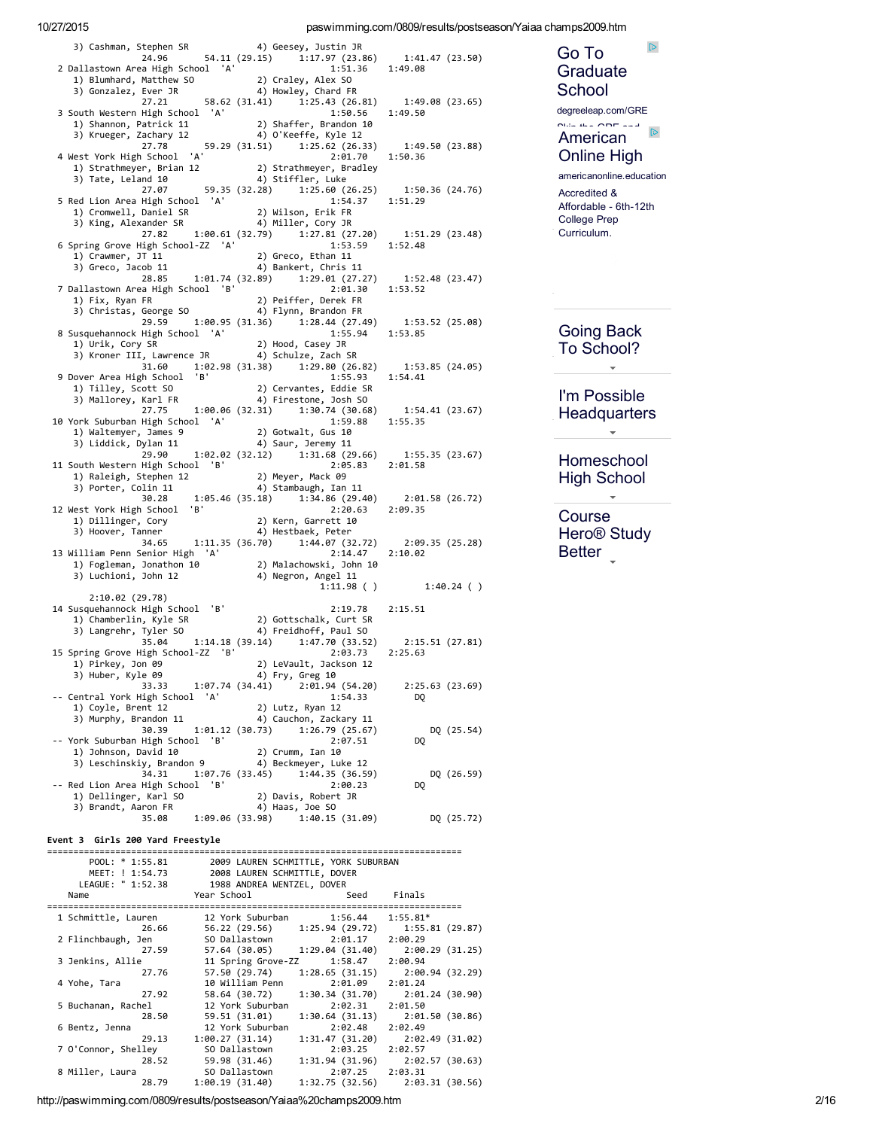paswimming.com/0809/results/postseason/Yaiaa champs2009.htm

| 3) Cashman, Stephen SR (4) Geesey, Justin Jn<br>24.96 54.11 (29.15) 1:17.97 (23.86) 1:41.47 (23.50)<br>3.51.36 1:49.08 (1:49.08)                                                                                                                 |                                                                                          |                             |
|--------------------------------------------------------------------------------------------------------------------------------------------------------------------------------------------------------------------------------------------------|------------------------------------------------------------------------------------------|-----------------------------|
|                                                                                                                                                                                                                                                  |                                                                                          |                             |
| 2 Dallastown Area High School 'A' 1:51.36 1:49.08<br>1) Blumhard, Matthew S0 2) Craley, Alex S0<br>3) Gonzalez, Ever JR 4) Howley, Chard FR<br>27.21 58.62 (31.41) 1:25.43 (26.81) 1:49.08 (23.65)                                               |                                                                                          |                             |
| 27.21<br>27.21<br>29 Shaffer, Brandon 10<br>3) Krueger, Zachary 12<br>29 Shaffer, Brandon 10<br>3) Krueger, Zachary 12<br>29 (31.51) 1:25.62 (26.33) 1:49.50 (23.88)<br>29 (31.51) 1:25.62 (26.33) 1:49.50 (23.88)                               |                                                                                          |                             |
|                                                                                                                                                                                                                                                  |                                                                                          |                             |
|                                                                                                                                                                                                                                                  |                                                                                          |                             |
|                                                                                                                                                                                                                                                  |                                                                                          |                             |
|                                                                                                                                                                                                                                                  |                                                                                          |                             |
| Alext York High School 'A'<br>1) Strathmeyer, Brian 12<br>3) Tate, Leland 10<br>2) Strathmeyer, Bradley<br>2) Strathmeyer, Bradley<br>2) Strathmeyer, Bradley<br>4) Stiffler, Luke<br>27.80 (26.25) 1:50.36 (24.76)<br>1:54.37 1:51.29<br>1:51.2 |                                                                                          |                             |
| 5 Red Lion Area High School 'A'                                                                                                                                                                                                                  |                                                                                          |                             |
|                                                                                                                                                                                                                                                  |                                                                                          |                             |
| 27.82<br>6 Spring Grove High School-ZZ 'A'                                                                                                                                                                                                       | $1:00.61$ (32.79) $1:27.81$ (27.20) $1:51.29$ (23.48)<br>nool-ZZ 'A' $1:53.59$ $1:52.48$ |                             |
| 1) Crawmer, JT 11                                                                                                                                                                                                                                | 2) Greco, Ethan 11<br>4) Bankert, Chris 11                                               |                             |
|                                                                                                                                                                                                                                                  |                                                                                          |                             |
| 3) Greco, Jacob 11 (28.85)<br>28.85 (1:01.74 (32.89) (1:29.01 (27.27) (1:52.48 (23.47)<br>29.81 (27.27) (1:53.52 (23.47)<br>7 Dallastown Area High School 'B'                                                                                    |                                                                                          |                             |
|                                                                                                                                                                                                                                                  |                                                                                          |                             |
|                                                                                                                                                                                                                                                  | 29.59 1:00.95 (31.36) 1:28.44 (27.49) 1:53.52 (25.08)<br>High School 'A' 1:55.94 1:53.85 |                             |
| 8 Susquehannock High School 'A'                                                                                                                                                                                                                  |                                                                                          |                             |
|                                                                                                                                                                                                                                                  |                                                                                          |                             |
|                                                                                                                                                                                                                                                  | 31.60 1:02.98 (31.38) 1:29.80 (26.82) 1:53.85 (24.05)                                    |                             |
| 9 Dover Area High School 'B'<br>1:55.93 1:54.41<br>1) Tilley, Scott S0 2) Cervantes, Eddie SR<br>3) Mallorey, Karl FR 4) Firestone, Josh SO<br>27.75 1:00.06 (32.31) 1:30.74 (30.68) 1:54.41 (23.67)                                             |                                                                                          |                             |
|                                                                                                                                                                                                                                                  |                                                                                          |                             |
| $27.75$<br>10 York Suburban High School 'A'<br>1) Waltemyer, James 9<br>12 A) Saur, Jeremy 11<br>121 A (20                                                                                                                                       | 1:59.88 1:55.35                                                                          |                             |
|                                                                                                                                                                                                                                                  |                                                                                          |                             |
|                                                                                                                                                                                                                                                  | 29.90 1:02.02 (32.12) 1:31.68 (29.66) 1:55.35 (23.67)<br>High School 'B' 2:05.83 2:01.58 |                             |
| 11 South Western High School 'B'<br>voun neoen nemer and the property of the property of the control of the control of the control of the control o<br>1) Raleigh, Stephen 12 (2) A) Stambaugh, Ian 11                                           |                                                                                          |                             |
|                                                                                                                                                                                                                                                  |                                                                                          |                             |
|                                                                                                                                                                                                                                                  | 30.28 1:05.46 (35.18) 1:34.86 (29.40) 2:01.58 (26.72)<br>1 School 'B' 2:20.63 2:09.35    |                             |
| 12 West York High School 'B'<br>1) Dillinger, Cory<br>3) Hoover. Tanner                                                                                                                                                                          | 2) Kern, Garrett 10<br>4) Hestbaek, Peter                                                |                             |
| 3) Hoover, Tanner                                                                                                                                                                                                                                |                                                                                          |                             |
| 13 William Penn Senior High 'A'                                                                                                                                                                                                                  |                                                                                          |                             |
| 2:14.4/<br>1) Fogleman, Jonathon 10 (2) Malachowski, John 10<br>3) Luchioni, John 12 (4) Negron, Angel 11                                                                                                                                        |                                                                                          |                             |
|                                                                                                                                                                                                                                                  |                                                                                          | $1:11.98$ ( ) $1:40.24$ ( ) |
| 2:10.02 (29.78)<br>14 Susquehannock High School 'B' 2:19.78<br>1) Chamberlin, Kyle SR 2) Gottschalk, Curt SR<br>3) Langrehr. Tyler SO 4) Freidhoff, Paul SO                                                                                      | 2:19.78 2:15.51                                                                          |                             |
|                                                                                                                                                                                                                                                  |                                                                                          |                             |
| 35.04                                                                                                                                                                                                                                            | 1:14.18 (39.14) 1:47.70 (33.52) 2:15.51 (27.81)<br>201-ZZ 'B' 2:03.73 2:25.51 (27.81)    |                             |
| 15 Spring Grove High School-ZZ 'B'<br>1) Pirkey, Jon 09                                                                                                                                                                                          | 2:03.73<br>2) LeVault, Jackson 12                                                        | 2:25.63                     |
| 3) Huber, Kyle 09                                                                                                                                                                                                                                | 4) Fry, Greg 10                                                                          |                             |
| 33.33<br>-- Central York High School 'A'                                                                                                                                                                                                         | 1:07.74 (34.41) 2:01.94 (54.20)<br>1:54.33                                               | 2:25.63 (23.69)<br>DQ       |
| 1) Coyle, Brent 12                                                                                                                                                                                                                               | 2) Lutz, Ryan 12                                                                         |                             |
| 3) Murphy, Brandon 11<br>30.39<br>1:01.12(30.73)                                                                                                                                                                                                 | 4) Cauchon, Zackary 11<br>1:26.79(25.67)                                                 | DQ (25.54)                  |
| -- York Suburban High School<br>'B'<br>1) Johnson, David 10                                                                                                                                                                                      | 2:07.51<br>2) Crumm, Ian 10                                                              | D <sub>0</sub>              |
| 3) Leschinskiy, Brandon 9                                                                                                                                                                                                                        | 4) Beckmeyer, Luke 12                                                                    |                             |
| 34.31<br>1:07.76 (33.45)<br>'B'<br>-- Red Lion Area High School                                                                                                                                                                                  | 1:44.35 (36.59)<br>2:00.23                                                               | DQ (26.59)<br>DQ            |
| 1) Dellinger, Karl SO                                                                                                                                                                                                                            | 2) Davis, Robert JR                                                                      |                             |
| 3) Brandt, Aaron FR<br>35.08<br>1:09.06 (33.98)                                                                                                                                                                                                  | 4) Haas, Joe SO<br>1:40.15(31.09)                                                        | DQ (25.72)                  |
|                                                                                                                                                                                                                                                  |                                                                                          |                             |

# Go To Graduate School

 $\mathbb{D}$ 

degreeleap.com/GRE

#### $\overline{\mathbf{a}}$  $\mathbb{D}$ American **Online High**

americanonline.education

Accredited & Affordable - 6th-12th College Prep Curriculum.

# **Going Back** To School?

I'm Possible Headquarters

 $\bar{\star}$ 

 $\bar{\star}$ 

# Homeschool **High School**

Course Hero<sup>®</sup> Study Better

#### Event 3 Girls 200 Yard Freestyle

| POOL: $* 1:55.81$<br>MEET: ! 1:54.73<br>LEAGUE: " 1:52.38<br>Name | 2009 LAUREN SCHMITTLE, YORK SUBURBAN<br>2008 LAUREN SCHMITTLE, DOVER<br>1988 ANDREA WENTZEL, DOVER<br>Year School <b>Sear</b> School |                 | Seed Finals                                   |
|-------------------------------------------------------------------|--------------------------------------------------------------------------------------------------------------------------------------|-----------------|-----------------------------------------------|
|                                                                   |                                                                                                                                      |                 |                                               |
| 1 Schmittle, Lauren                                               | 12 York Suburban 1:56.44 1:55.81*                                                                                                    |                 |                                               |
|                                                                   | 26.66 56.22 (29.56) 1:25.94 (29.72) 1:55.81 (29.87)                                                                                  |                 |                                               |
| 2 Flinchbaugh, Jen                                                | SO Dallastown 2:01.17 2:00.29                                                                                                        |                 |                                               |
|                                                                   | 27.59 57.64 (30.05) 1:29.04 (31.40) 2:00.29 (31.25)                                                                                  |                 |                                               |
| 3 Jenkins, Allie                                                  | 11 Spring Grove-ZZ 1:58.47 2:00.94                                                                                                   |                 |                                               |
| 27.76                                                             |                                                                                                                                      |                 | 57.50 (29.74) 1:28.65 (31.15) 2:00.94 (32.29) |
| 4 Yohe, Tara                                                      | 10 William Penn 2:01.09 2:01.24                                                                                                      |                 |                                               |
|                                                                   | 27.92 58.64 (30.72) 1:30.34 (31.70) 2:01.24 (30.90)                                                                                  |                 |                                               |
| 5 Buchanan, Rachel                                                | 12 York Suburban                                                                                                                     | 2:02.31 2:01.50 |                                               |
|                                                                   | 28.50 59.51 (31.01)                                                                                                                  |                 | $1:30.64$ (31.13) $2:01.50$ (30.86)           |
| 6 Bentz, Jenna                                                    | 12 York Suburban                                                                                                                     | 2:02.48 2:02.49 |                                               |
|                                                                   | 29.13 1:00.27 (31.14)                                                                                                                |                 | $1:31.47(31.20)$ $2:02.49(31.02)$             |
| 7 O'Connor, Shelley                                               | SO Dallastown                                                                                                                        | 2:03.25 2:02.57 |                                               |
|                                                                   | 28.52 59.98 (31.46) 1:31.94 (31.96) 2:02.57 (30.63)                                                                                  |                 |                                               |
| 8 Miller, Laura                                                   | SO Dallastown                                                                                                                        | 2:07.25 2:03.31 |                                               |
|                                                                   | 28.79 1:00.19 (31.40)                                                                                                                |                 | $1:32.75(32.56)$ $2:03.31(30.56)$             |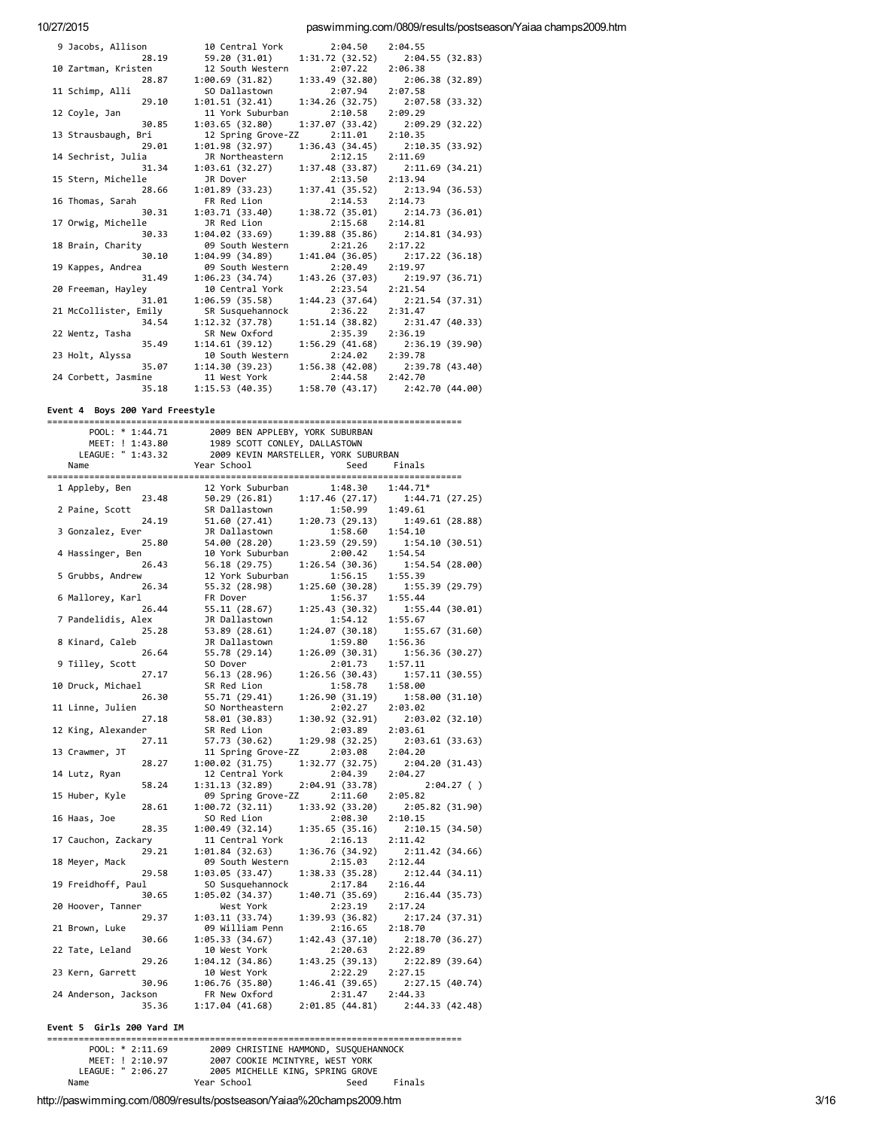paswimming.com/0809/results/postseason/Yaiaa champs2009.htm

| 9 Jacobs, Allison     | 10 Central York    | 2:04.50         | 2:04.55                             |
|-----------------------|--------------------|-----------------|-------------------------------------|
| 28.19                 | 59.20 (31.01)      | 1:31.72(32.52)  | 2:04.55(32.83)                      |
| 10 Zartman, Kristen   | 12 South Western   | 2:07.22         | 2:06.38                             |
| 28.87                 | 1:00.69(31.82)     | 1:33.49(32.80)  | 2:06.38 (32.89)                     |
| 11 Schimp, Alli       | SO Dallastown      | 2:07.94         | 2:07.58                             |
| 29.10                 | 1:01.51(32.41)     | 1:34.26(32.75)  | 2:07.58 (33.32)                     |
| 12 Coyle, Jan         | 11 York Suburban   | 2:10.58         | 2:09.29                             |
| 30.85                 | 1:03.65(32.80)     | 1:37.07(33.42)  | 2:09.29(32.22)                      |
| 13 Strausbaugh, Bri   | 12 Spring Grove-ZZ | 2:11.01         | 2:10.35                             |
| 29.01                 | 1:01.98(32.97)     | 1:36.43(34.45)  | 2:10.35 (33.92)                     |
| 14 Sechrist, Julia    | JR Northeastern    | 2:12.15         | 2:11.69                             |
| 31.34                 | 1:03.61 (32.27)    |                 | $1:37.48$ (33.87) $2:11.69$ (34.21) |
| 15 Stern, Michelle    | JR Dover           | 2:13.50         | 2:13.94                             |
| 28.66                 | 1:01.89(33.23)     |                 | 1:37.41 (35.52) 2:13.94 (36.53)     |
| 16 Thomas, Sarah      | FR Red Lion        | 2:14.53         | 2:14.73                             |
| 30.31                 | 1:03.71(33.40)     | 1:38.72(35.01)  | 2:14.73 (36.01)                     |
| 17 Orwig, Michelle    | JR Red Lion        | 2:15.68         | 2:14.81                             |
| 30.33                 | 1:04.02(33.69)     | 1:39.88(35.86)  | 2:14.81 (34.93)                     |
| 18 Brain, Charity     | 09 South Western   | 2:21.26         | 2:17.22                             |
| 30.10                 | 1:04.99 (34.89)    | 1:41.04 (36.05) | 2:17.22 (36.18)                     |
| 19 Kappes, Andrea     | 09 South Western   | 2:20.49         | 2:19.97                             |
| 31.49                 | 1:06.23(34.74)     | 1:43.26(37.03)  | 2:19.97 (36.71)                     |
| 20 Freeman, Hayley    | 10 Central York    | 2:23.54         | 2:21.54                             |
| 31.01                 | 1:06.59(35.58)     | 1:44.23(37.64)  | 2:21.54 (37.31)                     |
| 21 McCollister, Emily | SR Susquehannock   | 2:36.22         | 2:31.47                             |
| 34.54                 | 1:12.32(37.78)     | 1:51.14(38.82)  | 2:31.47 (40.33)                     |
| 22 Wentz, Tasha       | SR New Oxford      | 2:35.39         | 2:36.19                             |
| 35.49                 | 1:14.61(39.12)     | 1:56.29(41.68)  | 2:36.19 (39.90)                     |
| 23 Holt, Alyssa       | 10 South Western   | 2:24.02         | 2:39.78                             |
| 35.07                 | 1:14.30(39.23)     | 1:56.38 (42.08) | 2:39.78 (43.40)                     |
| 24 Corbett, Jasmine   | 11 West York       | 2:44.58 2:42.70 |                                     |
| 35.18                 | 1:15.53(40.35)     |                 | $1:58.70(43.17)$ $2:42.70(44.00)$   |
|                       |                    |                 |                                     |

#### Event 4 Boys 200 Yard Freestyle

| ========             |       |             |                                       |                            |                            |           |
|----------------------|-------|-------------|---------------------------------------|----------------------------|----------------------------|-----------|
| POOL: * 1:44.71      |       |             | 2009 BEN APPLEBY, YORK SUBURBAN       |                            |                            |           |
| MEET: ! 1:43.80      |       |             | 1989 SCOTT CONLEY, DALLASTOWN         |                            |                            |           |
| LEAGUE: " 1:43.32    |       |             | 2009 KEVIN MARSTELLER, YORK SUBURBAN  |                            |                            |           |
| Name                 |       | Year School |                                       | Seed                       | Finals                     |           |
|                      |       |             |                                       |                            |                            |           |
| 1 Appleby, Ben       |       |             | 12 York Suburban                      | 1:48.30                    | $1:44.71*$                 |           |
|                      | 23.48 |             | 50.29 (26.81)                         | 1:17.46(27.17)             | 1:44.71(27.25)             |           |
| 2 Paine, Scott       |       |             | SR Dallastown                         | 1:50.99                    | 1:49.61                    |           |
|                      | 24.19 |             | 51.60 (27.41)                         | 1:20.73(29.13)             | 1:49.61(28.88)             |           |
| 3 Gonzalez, Ever     |       |             | JR Dallastown                         | 1:58.60                    | 1:54.10                    |           |
|                      | 25.80 |             | 54.00 (28.20)                         | 1:23.59(29.59)             | 1:54.10(30.51)             |           |
| 4 Hassinger, Ben     | 26.43 |             | 10 York Suburban                      | 2:00.42<br>1:26.54(30.36)  | 1:54.54<br>1:54.54(28.00)  |           |
| 5 Grubbs, Andrew     |       |             | 56.18 (29.75)<br>12 York Suburban     | 1:56.15                    | 1:55.39                    |           |
|                      |       |             |                                       |                            |                            |           |
| 6 Mallorey, Karl     | 26.34 | FR Dover    | 55.32 (28.98)                         | 1:25.60 (30.28)<br>1:56.37 | 1:55.39 (29.79)<br>1:55.44 |           |
|                      | 26.44 |             | 55.11 (28.67)                         | 1:25.43(30.32)             | 1:55.44(30.01)             |           |
| 7 Pandelidis, Alex   |       |             | JR Dallastown                         | 1:54.12                    | 1:55.67                    |           |
|                      | 25.28 |             |                                       | 1:24.07(30.18)             |                            |           |
| 8 Kinard, Caleb      |       |             | 53.89 (28.61)                         | 1:59.80                    | 1:55.67 (31.60)<br>1:56.36 |           |
|                      | 26.64 |             | JR Dallastown<br>55.78 (29.14)        | 1:26.09(30.31)             | 1:56.36(30.27)             |           |
| 9 Tilley, Scott      |       | SO Dover    |                                       | 2:01.73                    | 1:57.11                    |           |
|                      | 27.17 |             |                                       | 1:26.56(30.43)             |                            |           |
| 10 Druck, Michael    |       |             | 56.13 (28.96)<br>SR Red Lion          | 1:58.78                    | 1:57.11(30.55)<br>1:58.00  |           |
|                      | 26.30 |             |                                       |                            |                            |           |
|                      |       |             | 55.71 (29.41)                         | 1:26.90(31.19)             | 1:58.00(31.10)<br>2:03.02  |           |
| 11 Linne, Julien     |       |             | SO Northeastern                       | 2:02.27                    |                            |           |
|                      | 27.18 |             | 58.01 (30.83)<br>SR Red Lion          | 1:30.92 (32.91)            | 2:03.02 (32.10)            |           |
| 12 King, Alexander   | 27.11 |             |                                       | 2:03.89                    | 2:03.61                    |           |
|                      |       |             | 57.73 (30.62)                         | 1:29.98(32.25)             | 2:03.61(33.63)             |           |
| 13 Crawmer, JT       | 28.27 |             | 11 Spring Grove-ZZ                    | 2:03.08<br>1:32.77 (32.75) | 2:04.20                    |           |
| 14 Lutz, Ryan        |       |             | 1:00.02 (31.75)<br>12 Central York    | 2:04.39                    | 2:04.20 (31.43)<br>2:04.27 |           |
|                      | 58.24 |             | 1:31.13(32.89)                        | 2:04.91 (33.78)            |                            | 2:04.27() |
| 15 Huber, Kyle       |       |             |                                       | 2:11.60                    | 2:05.82                    |           |
|                      | 28.61 |             | 09 Spring Grove-ZZ<br>1:00.72 (32.11) | 1:33.92 (33.20)            | 2:05.82 (31.90)            |           |
| 16 Haas, Joe         |       |             | SO Red Lion                           | 2:08.30                    | 2:10.15                    |           |
|                      | 28.35 |             | 1:00.49(32.14)                        | 1:35.65 (35.16)            | 2:10.15(34.50)             |           |
| 17 Cauchon, Zackary  |       |             | 11 Central York                       | 2:16.13                    | 2:11.42                    |           |
|                      | 29.21 |             | 1:01.84(32.63)                        | 1:36.76 (34.92)            | 2:11.42 (34.66)            |           |
| 18 Meyer, Mack       |       |             | 09 South Western                      | 2:15.03                    | 2:12.44                    |           |
|                      | 29.58 |             | 1:03.05(33.47)                        | 1:38.33(35.28)             | 2:12.44(34.11)             |           |
| 19 Freidhoff, Paul   |       |             | SO Susquehannock                      | 2:17.84                    | 2:16.44                    |           |
|                      | 30.65 |             | 1:05.02 (34.37)                       | 1:40.71(35.69)             | 2:16.44 (35.73)            |           |
| 20 Hoover, Tanner    |       |             | West York                             | 2:23.19                    | 2:17.24                    |           |
|                      | 29.37 |             | 1:03.11(33.74)                        | 1:39.93 (36.82)            | 2:17.24 (37.31)            |           |
| 21 Brown, Luke       |       |             | 09 William Penn                       | 2:16.65                    | 2:18.70                    |           |
|                      | 30.66 |             | 1:05.33(34.67)                        | 1:42.43 (37.10)            | 2:18.70 (36.27)            |           |
| 22 Tate, Leland      |       |             | 10 West York                          | 2:20.63                    | 2:22.89                    |           |
|                      | 29.26 |             | 1:04.12(34.86)                        | 1:43.25(39.13)             | 2:22.89 (39.64)            |           |
| 23 Kern, Garrett     |       |             | 10 West York                          | 2:22.29                    | 2:27.15                    |           |
|                      | 30.96 |             | 1:06.76(35.80)                        | 1:46.41(39.65)             | 2:27.15 (40.74)            |           |
| 24 Anderson, Jackson |       |             | FR New Oxford                         | 2:31.47                    | 2:44.33                    |           |
|                      | 35.36 |             | 1:17.04 (41.68)                       | 2:01.85(44.81)             | 2:44.33 (42.48)            |           |
|                      |       |             |                                       |                            |                            |           |

#### Event 5 Girls 200 Yard IM

Name

POOL: \* 2:11.69<br>POOL: \* 2:11.69<br>MEET: ! 2:10.97 2007 COOKIE MCINTYRE, WEST YORK<br>LEAGUE: " 2:06.27 2005 MICHELLE KING, SPRING GROVE Year School  $Finals$ Seed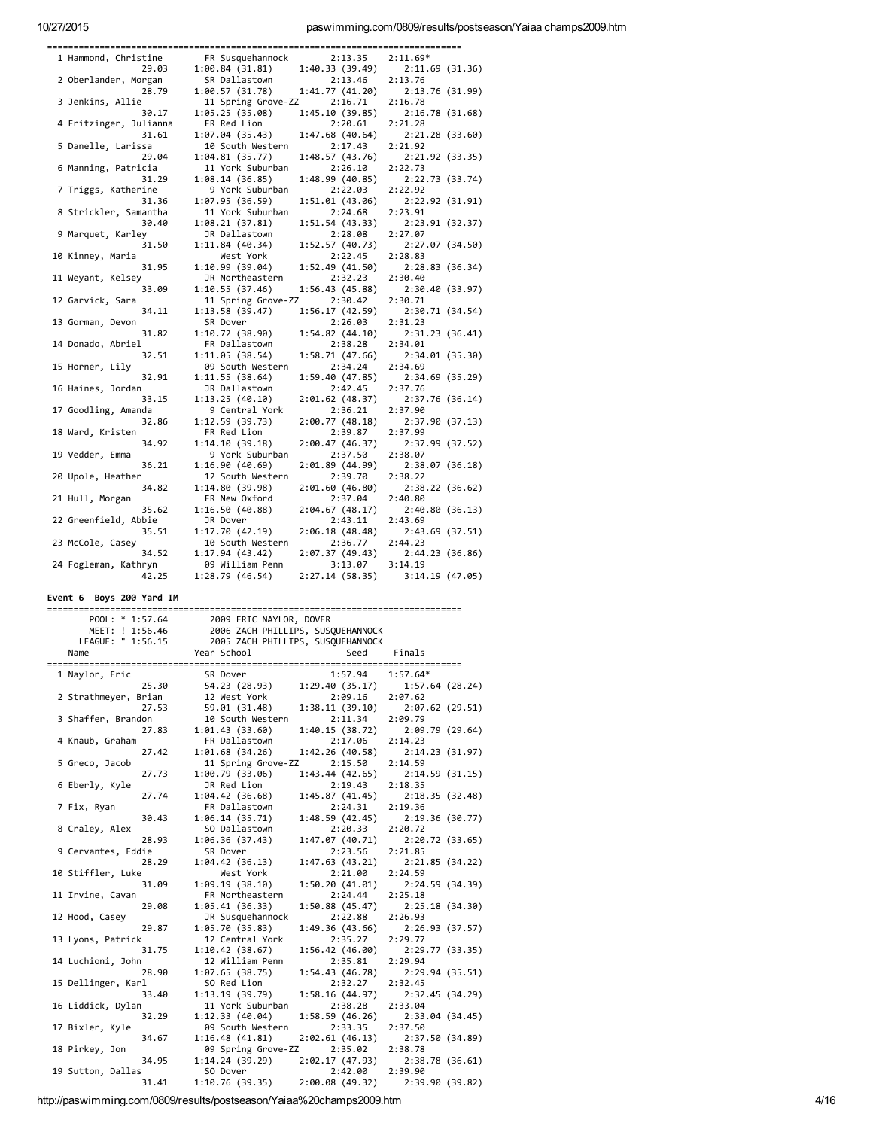paswimming.com/0809/results/postseason/Yaiaa champs2009.htm

| 1 Hammond, Christine       | FR Susquehannock                  | 2:13.35                    | $2:11.69*$                 |
|----------------------------|-----------------------------------|----------------------------|----------------------------|
| 29.03                      | 1:00.84(31.81)                    | 1:40.33(39.49)             | 2:11.69(31.36)             |
| 2 Oberlander, Morgan       | SR Dallastown                     | 2:13.46                    | 2:13.76                    |
| 28.79                      | 1:00.57 (31.78)                   | 1:41.77(41.20)             | 2:13.76 (31.99)            |
| 3 Jenkins, Allie           | 11 Spring Grove-ZZ                | 2:16.71                    | 2:16.78                    |
| 30.17                      | 1:05.25(35.08)                    | 1:45.10(39.85)             | 2:16.78 (31.68)            |
| 4 Fritzinger, Julianna     | FR Red Lion                       | 2:20.61                    | 2:21.28                    |
| 31.61                      | 1:07.04 (35.43)                   | 1:47.68(40.64)             | 2:21.28 (33.60)            |
| 5 Danelle, Larissa         | 10 South Western                  | 2:17.43                    | 2:21.92                    |
|                            |                                   |                            |                            |
| 29.04                      | 1:04.81(35.77)                    | 1:48.57 (43.76)            | 2:21.92 (33.35)            |
| 6 Manning, Patricia        | 11 York Suburban                  | 2:26.10                    | 2:22.73                    |
| 31.29                      | 1:08.14(36.85)                    | 1:48.99 (40.85)            | 2:22.73 (33.74)            |
| 7 Triggs, Katherine        | 9 York Suburban                   | 2:22.03                    | 2:22.92                    |
| 31.36                      | 1:07.95(36.59)                    | 1:51.01 (43.06)            | 2:22.92 (31.91)            |
| 8 Strickler, Samantha      | 11 York Suburban                  | 2:24.68                    | 2:23.91                    |
| 30.40                      | 1:08.21(37.81)                    | 1:51.54(43.33)             | 2:23.91 (32.37)            |
| 9 Marquet, Karley          | JR Dallastown                     | 2:28.08                    | 2:27.07                    |
| 31.50                      | 1:11.84(40.34)                    | 1:52.57(40.73)             | 2:27.07 (34.50)            |
| 10 Kinney, Maria           | West York                         | 2:22.45                    | 2:28.83                    |
| 31.95                      | 1:10.99(39.04)                    | 1:52.49(41.50)             | 2:28.83 (36.34)            |
| 11 Weyant, Kelsey          | JR Northeastern                   | 2:32.23                    | 2:30.40                    |
| 33.09                      | 1:10.55(37.46)                    | 1:56.43(45.88)             | 2:30.40 (33.97)            |
| 12 Garvick, Sara           | 11 Spring Grove-ZZ                | 2:30.42                    | 2:30.71                    |
| 34.11                      | 1:13.58 (39.47)                   | 1:56.17 (42.59)            | 2:30.71 (34.54)            |
| 13 Gorman, Devon           | SR Dover                          | 2:26.03                    | 2:31.23                    |
| 31.82                      | 1:10.72 (38.90)                   | 1:54.82(44.10)             |                            |
| 14 Donado, Abriel          |                                   |                            | 2:31.23 (36.41)            |
|                            | FR Dallastown                     | 2:38.28                    | 2:34.01                    |
| 32.51                      | 1:11.05(38.54)                    | 1:58.71 (47.66)            | 2:34.01 (35.30)            |
| 15 Horner, Lily            | 09 South Western                  | 2:34.24                    | 2:34.69                    |
| 32.91                      | 1:11.55(38.64)                    | 1:59.40 (47.85)            | 2:34.69 (35.29)            |
| 16 Haines, Jordan          | JR Dallastown                     | 2:42.45                    | 2:37.76                    |
| 33.15                      | 1:13.25(40.10)                    | 2:01.62(48.37)             | 2:37.76 (36.14)            |
| 17 Goodling, Amanda        | 9 Central York                    | 2:36.21                    | 2:37.90                    |
| 32.86                      | 1:12.59(39.73)                    | 2:00.77(48.18)             | 2:37.90 (37.13)            |
| 18 Ward, Kristen           | FR Red Lion                       | 2:39.87                    | 2:37.99                    |
| 34.92                      | 1:14.10(39.18)                    | 2:00.47 (46.37)            | 2:37.99 (37.52)            |
| 19 Vedder, Emma            | 9 York Suburban                   | 2:37.50                    | 2:38.07                    |
| 36.21                      | 1:16.90(40.69)                    | 2:01.89 (44.99)            | 2:38.07 (36.18)            |
| 20 Upole, Heather          | 12 South Western                  | 2:39.70                    | 2:38.22                    |
| 34.82                      | 1:14.80(39.98)                    | 2:01.60 (46.80)            | 2:38.22 (36.62)            |
| 21 Hull, Morgan            | FR New Oxford                     | 2:37.04                    | 2:40.80                    |
| 35.62                      | 1:16.50(40.88)                    | 2:04.67 (48.17)            | 2:40.80 (36.13)            |
| 22 Greenfield, Abbie       | JR Dover                          | 2:43.11                    | 2:43.69                    |
| 35.51                      | 1:17.70(42.19)                    | 2:06.18(48.48)             | 2:43.69 (37.51)            |
| 23 McCole, Casey           | 10 South Western                  | 2:36.77                    | 2:44.23                    |
| 34.52                      | 1:17.94 (43.42)                   | 2:07.37 (49.43)            | 2:44.23(36.86)             |
|                            |                                   |                            |                            |
|                            |                                   |                            |                            |
| 24 Fogleman, Kathryn       | 09 William Penn                   | 3:13.07                    | 3:14.19                    |
| 42.25                      | 1:28.79(46.54)                    | 2:27.14 (58.35)            | 3:14.19(47.05)             |
|                            |                                   |                            |                            |
| Event 6 Boys 200 Yard IM   |                                   |                            |                            |
|                            |                                   |                            |                            |
| POOL: * 1:57.64            | 2009 ERIC NAYLOR, DOVER           |                            |                            |
| MEET: ! 1:56.46            | 2006 ZACH PHILLIPS, SUSQUEHANNOCK |                            |                            |
| LEAGUE: " 1:56.15          | 2005 ZACH PHILLIPS, SUSQUEHANNOCK |                            |                            |
| Name                       | Year School                       | Seed                       | Finals                     |
|                            |                                   |                            |                            |
| 1 Naylor, Eric             | SR Dover                          | 1:57.94                    | $1:57.64*$                 |
| 25.30                      |                                   | 1:29.40 (35.17)            | 1:57.64 (28.24)            |
| 2 Strathmeyer, Brian       | 54.23 (28.93)<br>12 West York     | 2:09.16                    | 2:07.62                    |
| 27.53                      | 59.01 (31.48)                     | 1:38.11 (39.10)            | 2:07.62 (29.51)            |
|                            |                                   |                            |                            |
| 3 Shaffer, Brandon         | 10 South Western                  | 2:11.34                    | 2:09.79                    |
| 27.83                      | 1:01.43(33.60)                    | 1:40.15 (38.72)            | 2:09.79 (29.64)            |
| 4 Knaub, Graham            | FR Dallastown                     | 2:17.06                    | 2:14.23                    |
| 27.42                      | 1:01.68 (34.26)                   | 1:42.26(40.58)             | 2:14.23 (31.97)            |
| 5 Greco, Jacob             | 11 Spring Grove-ZZ                | 2:15.50                    | 2:14.59                    |
| 27.73                      | 1:00.79 (33.06)                   | 1:43.44 (42.65)            | 2:14.59 (31.15)            |
| 6 Eberly, Kyle             | JR Red Lion                       | 2:19.43                    | 2:18.35                    |
| 27.74                      | 1:04.42(36.68)                    | 1:45.87 (41.45)            | 2:18.35 (32.48)            |
| 7 Fix, Ryan                | FR Dallastown                     | 2:24.31                    | 2:19.36                    |
| 30.43                      | 1:06.14 (35.71)                   | 1:48.59 (42.45)            | 2:19.36 (30.77)            |
| 8 Craley, Alex             | SO Dallastown                     | 2:20.33                    | 2:20.72                    |
| 28.93                      | 1:06.36(37.43)                    | 1:47.07 (40.71)            | 2:20.72 (33.65)            |
| 9 Cervantes, Eddie         | SR Dover                          | 2:23.56                    | 2:21.85                    |
| 28.29                      | 1:04.42(36.13)                    | 1:47.63 (43.21)            | 2:21.85 (34.22)            |
| 10 Stiffler, Luke          | West York                         | 2:21.00                    | 2:24.59                    |
| 31.09                      | 1:09.19(38.10)                    | 1:50.20 (41.01)            | 2:24.59 (34.39)            |
| 11 Irvine, Cavan           | FR Northeastern                   | 2:24.44                    | 2:25.18                    |
| 29.08                      | 1:05.41 (36.33)                   | 1:50.88 (45.47)            | 2:25.18 (34.30)            |
| 12 Hood, Casey             | JR Susquehannock                  | 2:22.88                    | 2:26.93                    |
| 29.87                      | 1:05.70(35.83)                    | 1:49.36 (43.66)            | 2:26.93 (37.57)            |
| 13 Lyons, Patrick          | 12 Central York                   | 2:35.27                    | 2:29.77                    |
| 31.75                      | 1:10.42(38.67)                    | 1:56.42 (46.00)            | 2:29.77 (33.35)            |
| 14 Luchioni, John          | 12 William Penn                   | 2:35.81                    | 2:29.94                    |
| 28.90                      | 1:07.65 (38.75)                   | 1:54.43 (46.78)            | 2:29.94 (35.51)            |
| 15 Dellinger, Karl         | SO Red Lion                       | 2:32.27                    | 2:32.45                    |
| 33.40                      | 1:13.19 (39.79)                   | 1:58.16 (44.97)            | 2:32.45 (34.29)            |
|                            |                                   |                            |                            |
| 16 Liddick, Dylan          | 11 York Suburban                  | 2:38.28                    | 2:33.04                    |
| 32.29                      | 1:12.33(40.04)                    | 1:58.59 (46.26)            | 2:33.04 (34.45)            |
| 17 Bixler, Kyle            | 09 South Western                  | 2:33.35                    | 2:37.50                    |
| 34.67                      | 1:16.48(41.81)                    | 2:02.61 (46.13)            | 2:37.50 (34.89)            |
| 18 Pirkey, Jon             | 09 Spring Grove-ZZ                | 2:35.02                    | 2:38.78                    |
| 34.95                      | 1:14.24(39.29)                    | 2:02.17 (47.93)            | 2:38.78 (36.61)            |
| 19 Sutton, Dallas<br>31.41 | SO Dover<br>1:10.76(39.35)        | 2:42.00<br>2:00.08 (49.32) | 2:39.90<br>2:39.90 (39.82) |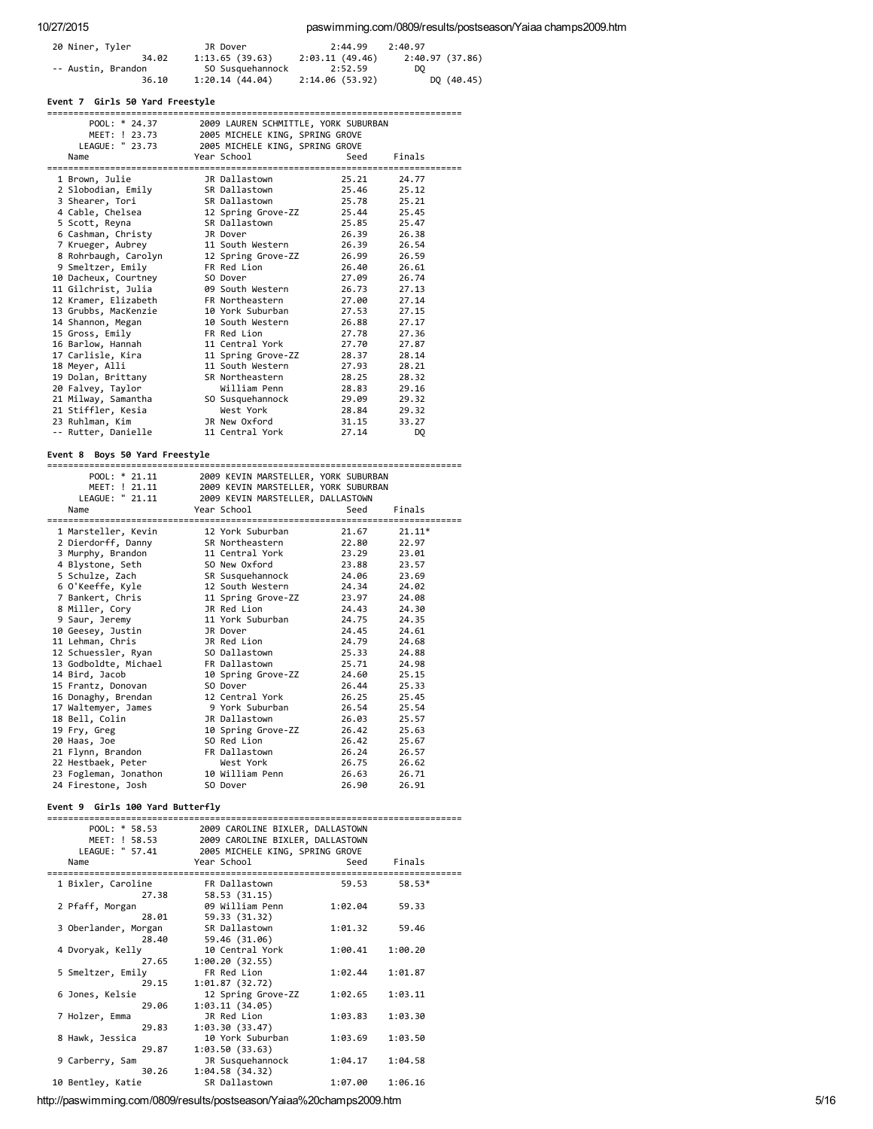# 10/27/2015 paswimming.com/0809/results/postseason/Yaiaa champs2009.htm

| 20 Niner, Tyler    | JR Dover         | 2:44.99        | 2:40.97         |
|--------------------|------------------|----------------|-----------------|
| 34.02              | 1:13.65(39.63)   | 2:03.11(49.46) | 2:40.97 (37.86) |
| -- Austin, Brandon | SO Susquehannock | 2:52.59        | DO.             |
| 36.10              | 1:20.14(44.04)   | 2:14.06(53.92) | DQ (40.45)      |

# Event 7 Girls 50 Yard Freestyle

| POOL: * 24.37<br>MEET: ! 23.73<br>LEAGUE: " 23.73 | 2005 MICHELE KING, SPRING GROVE<br>2005 MICHELE KING, SPRING GROVE | 2009 LAUREN SCHMITTLE, YORK SUBURBAN |                |
|---------------------------------------------------|--------------------------------------------------------------------|--------------------------------------|----------------|
| Name                                              | Year School                                                        | Seed                                 | Finals         |
| 1 Brown, Julie                                    | JR Dallastown                                                      | 25.21                                | 24.77          |
| 2 Slobodian, Emily                                | SR Dallastown                                                      | 25.46                                | 25.12          |
| 3 Shearer, Tori                                   | SR Dallastown                                                      | 25.78                                | 25.21          |
| 4 Cable, Chelsea                                  | 12 Spring Grove-ZZ                                                 | 25.44                                | 25.45          |
| 5 Scott, Reyna                                    | SR Dallastown                                                      | 25.85                                | 25.47          |
| 6 Cashman, Christy                                | JR Dover                                                           | 26.39                                | 26.38          |
| 7 Krueger, Aubrey                                 | 11 South Western                                                   | 26.39                                | 26.54          |
| 8 Rohrbaugh, Carolyn                              | 12 Spring Grove-ZZ                                                 | 26.99                                | 26.59          |
| 9 Smeltzer, Emily                                 | FR Red Lion                                                        | 26.40                                | 26.61          |
| 10 Dacheux, Courtney                              | SO Dover                                                           | 27.09                                | 26.74          |
| 11 Gilchrist, Julia                               | 09 South Western                                                   | 26.73                                | 27.13          |
| 12 Kramer, Elizabeth                              | FR Northeastern                                                    | 27.00                                | 27.14          |
| 13 Grubbs, MacKenzie                              | 10 York Suburban                                                   | 27.53                                | 27.15          |
| 14 Shannon, Megan                                 | 10 South Western                                                   | 26.88                                | 27.17          |
| 15 Gross, Emily                                   | FR Red Lion                                                        | 27.78                                | 27.36          |
| 16 Barlow, Hannah                                 | 11 Central York                                                    | 27.70                                | 27.87          |
| 17 Carlisle, Kira                                 | 11 Spring Grove-ZZ                                                 | 28.37                                | 28.14          |
| 18 Meyer, Alli                                    | 11 South Western                                                   | 27.93                                | 28.21          |
| 19 Dolan, Brittany                                | SR Northeastern                                                    | 28.25                                | 28.32          |
| 20 Falvey, Taylor                                 | William Penn                                                       | 28.83                                | 29.16          |
| 21 Milway, Samantha                               | SO Susquehannock                                                   | 29.09                                | 29.32          |
| 21 Stiffler, Kesia                                | West York                                                          | 28.84                                | 29.32          |
| 23 Ruhlman, Kim                                   | JR New Oxford                                                      | 31.15                                | 33.27          |
| -- Rutter, Danielle                               | 11 Central York                                                    | 27.14                                | D <sub>0</sub> |

# Event 8 Boys 50 Yard Freestyle

| POOL: * 21.11         | 2009 KEVIN MARSTELLER, YORK SUBURBAN |       |          |
|-----------------------|--------------------------------------|-------|----------|
| MEET: ! 21.11         | 2009 KEVIN MARSTELLER, YORK SUBURBAN |       |          |
| LEAGUE: " 21.11       | 2009 KEVIN MARSTELLER, DALLASTOWN    |       |          |
| Name                  | Year School                          | Seed  | Finals   |
|                       |                                      |       |          |
| 1 Marsteller, Kevin   | 12 York Suburban                     | 21.67 | $21.11*$ |
| 2 Dierdorff, Danny    | SR Northeastern                      | 22.80 | 22.97    |
| 3 Murphy, Brandon     | 11 Central York 23.29                |       | 23.01    |
| 4 Blystone, Seth      | SO New Oxford                        | 23.88 | 23.57    |
| 5 Schulze, Zach       | SR Susquehannock                     | 24.06 | 23.69    |
| 6 O'Keeffe, Kyle      | 12 South Western                     | 24.34 | 24.02    |
| 7 Bankert, Chris      | 11 Spring Grove-ZZ                   | 23.97 | 24.08    |
| 8 Miller, Cory        | JR Red Lion                          | 24.43 | 24.30    |
| 9 Saur, Jeremy        | 11 York Suburban                     | 24.75 | 24.35    |
| 10 Geesey, Justin     | JR Dover                             | 24.45 | 24.61    |
| 11 Lehman, Chris      | JR Red Lion                          | 24.79 | 24.68    |
| 12 Schuessler, Ryan   | SO Dallastown                        | 25.33 | 24.88    |
| 13 Godboldte, Michael | FR Dallastown                        | 25.71 | 24.98    |
| 14 Bird, Jacob        | 10 Spring Grove-ZZ                   | 24.60 | 25.15    |
| 15 Frantz, Donovan    | SO Dover                             | 26.44 | 25.33    |
| 16 Donaghy, Brendan   | 12 Central York                      | 26.25 | 25.45    |
| 17 Waltemyer, James   | 9 York Suburban                      | 26.54 | 25.54    |
| 18 Bell, Colin        | JR Dallastown                        | 26.03 | 25.57    |
| 19 Fry, Greg          | 10 Spring Grove-ZZ                   | 26.42 | 25.63    |
| 20 Haas, Joe          | SO Red Lion                          | 26.42 | 25.67    |
| 21 Flynn, Brandon     | FR Dallastown                        | 26.24 | 26.57    |
| 22 Hestbaek, Peter    | West York                            | 26.75 | 26.62    |
| 23 Fogleman, Jonathon | 10 William Penn                      | 26.63 | 26.71    |
| 24 Firestone, Josh    | SO Dover                             | 26.90 | 26.91    |

# Event 9 Girls 100 Yard Butterfly

| POOL: $*$ 58.53      | 2009 CAROLINE BIXLER, DALLASTOWN |         |         |
|----------------------|----------------------------------|---------|---------|
| MEET: ! 58.53        | 2009 CAROLINE BIXLER, DALLASTOWN |         |         |
| LEAGUE: " 57.41      | 2005 MICHELE KING, SPRING GROVE  |         |         |
| Name                 | Year School                      | Seed    | Finals  |
| 1 Bixler, Caroline   | FR Dallastown                    | 59.53   | 58.53*  |
| 27.38                | 58.53 (31.15)                    |         |         |
| 2 Pfaff, Morgan      | 09 William Penn                  | 1:02.04 | 59.33   |
| 28.01                | 59.33 (31.32)                    |         |         |
| 3 Oberlander, Morgan | SR Dallastown                    | 1:01.32 | 59.46   |
| 28.40                | 59.46 (31.06)                    |         |         |
| 4 Dvoryak, Kelly     | 10 Central York                  | 1:00.41 | 1:00.20 |
| 27.65                | 1:00.20(32.55)                   |         |         |
| 5 Smeltzer, Emily    | FR Red Lion                      | 1:02.44 | 1:01.87 |
| 29.15                | 1:01.87(32.72)                   |         |         |
| 6 Jones, Kelsie      | 12 Spring Grove-ZZ               | 1:02.65 | 1:03.11 |
| 29.06                | 1:03.11(34.05)                   |         |         |
| 7 Holzer, Emma       | JR Red Lion                      | 1:03.83 | 1:03.30 |
| 29.83                | 1:03.30(33.47)                   |         |         |
| 8 Hawk, Jessica      | 10 York Suburban                 | 1:03.69 | 1:03.50 |
| 29.87                | 1:03.50(33.63)                   |         |         |
| 9 Carberry, Sam      | JR Susquehannock                 | 1:04.17 | 1:04.58 |
| 30.26                | 1:04.58(34.32)                   |         |         |
| 10 Bentley, Katie    | SR Dallastown                    | 1:07.00 | 1:06.16 |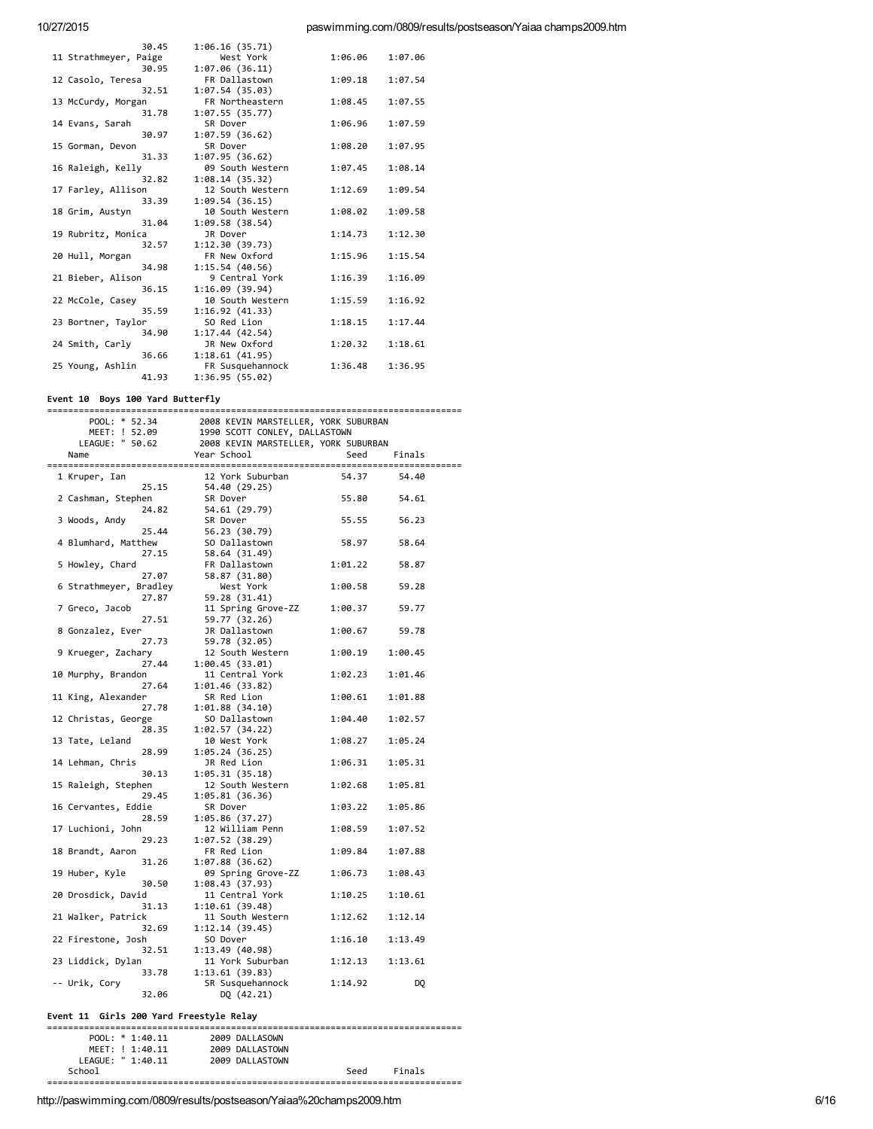| 30.45                 | 1:06.16(35.71)   |         |         |
|-----------------------|------------------|---------|---------|
| 11 Strathmeyer, Paige | West York        | 1:06.06 | 1:07.06 |
| 30.95                 | 1:07.06(36.11)   |         |         |
| 12 Casolo, Teresa     | FR Dallastown    | 1:09.18 | 1:07.54 |
| 32.51                 | 1:07.54(35.03)   |         |         |
| 13 McCurdy, Morgan    | FR Northeastern  | 1:08.45 | 1:07.55 |
| 31.78                 | 1:07.55(35.77)   |         |         |
| 14 Evans, Sarah       | SR Dover         | 1:06.96 | 1:07.59 |
| 30.97                 | 1:07.59 (36.62)  |         |         |
| 15 Gorman, Devon      | SR Dover         | 1:08.20 | 1:07.95 |
| 31.33                 | 1:07.95(36.62)   |         |         |
| 16 Raleigh, Kelly     | 09 South Western | 1:07.45 | 1:08.14 |
| 32.82                 | 1:08.14(35.32)   |         |         |
| 17 Farley, Allison    | 12 South Western | 1:12.69 | 1:09.54 |
| 33.39                 | 1:09.54(36.15)   |         |         |
| 18 Grim, Austyn       | 10 South Western | 1:08.02 | 1:09.58 |
| 31.04                 | 1:09.58 (38.54)  |         |         |
| 19 Rubritz, Monica    | JR Dover         | 1:14.73 | 1:12.30 |
| 32.57                 | 1:12.30 (39.73)  |         |         |
| 20 Hull, Morgan       | FR New Oxford    | 1:15.96 | 1:15.54 |
| 34.98                 | 1:15.54(40.56)   |         |         |
| 21 Bieber, Alison     | 9 Central York   | 1:16.39 | 1:16.09 |
| 36.15                 | 1:16.09(39.94)   |         |         |
| 22 McCole, Casey      | 10 South Western | 1:15.59 | 1:16.92 |
| 35.59                 | 1:16.92(41.33)   |         |         |
| 23 Bortner, Taylor    | SO Red Lion      | 1:18.15 | 1:17.44 |
| 34.90                 | 1:17.44(42.54)   |         |         |
| 24 Smith, Carly       | JR New Oxford    | 1:20.32 | 1:18.61 |
| 36.66                 | 1:18.61(41.95)   |         |         |
| 25 Young, Ashlin      | FR Susquehannock | 1:36.48 | 1:36.95 |
| 41.93                 | 1:36.95 (55.02)  |         |         |

### Event 10 Boys 100 Yard Butterfly

|                                | 2008 KEVIN MARSIELLAN,<br>1990 SCOTT CONLEY, DALLASTOWN<br>2008 KEVIN MARSTELLER, YORK SUBURBAN<br>הבריכה |                 |         |
|--------------------------------|-----------------------------------------------------------------------------------------------------------|-----------------|---------|
| POOL: * 52.34<br>MEET: ! 52.09 |                                                                                                           |                 |         |
| LEAGUE: " 50.62                |                                                                                                           |                 |         |
| Name                           |                                                                                                           |                 | Finals  |
|                                |                                                                                                           |                 |         |
| 1 Kruper, Ian                  | 12 York Suburban                                                                                          | 54.37           | 54.40   |
| 25.15                          | 54.40 (29.25)                                                                                             |                 |         |
| 2 Cashman, Stephen             | SR Dover                                                                                                  | 55.80           | 54.61   |
| 24.82                          | 54.61 (29.79)                                                                                             |                 |         |
| 3 Woods, Andy                  | SR Dover                                                                                                  | 55.55           | 56.23   |
| 25.44                          | 56.23 (30.79)                                                                                             |                 |         |
| 4 Blumhard, Matthew            | SO Dallastown                                                                                             | 58.97           | 58.64   |
| 27.15                          | 58.64 (31.49)                                                                                             |                 |         |
| 5 Howley, Chard                | FR Dallastown                                                                                             | 1:01.22         | 58.87   |
| 27.07                          | 58.87 (31.80)                                                                                             |                 |         |
| 6 Strathmeyer, Bradley         | West York                                                                                                 | 1:00.58         | 59.28   |
| 27.87                          | 59.28 (31.41)                                                                                             |                 |         |
| 7 Greco, Jacob                 | 11 Spring Grove-ZZ                                                                                        | 1:00.37         | 59.77   |
| 27.51                          | 59.77 (32.26)                                                                                             |                 |         |
| 8 Gonzalez, Ever               | JR Dallastown                                                                                             | 1:00.67         | 59.78   |
| 27.73                          | 59.78 (32.05)                                                                                             |                 |         |
| 9 Krueger, Zachary             | 12 South Western                                                                                          | 1:00.19 1:00.45 |         |
| 27.44                          |                                                                                                           |                 |         |
| 10 Murphy, Brandon             | 1:00.45(33.01)<br>11 Central York                                                                         | 1:02.23         | 1:01.46 |
|                                |                                                                                                           |                 |         |
| 27.64                          | 1:01.46 (33.82)                                                                                           |                 |         |
| 11 King, Alexander             | SR Red Lion                                                                                               | 1:00.61         | 1:01.88 |
| 27.78                          | 1:01.88(34.10)                                                                                            |                 |         |
| 12 Christas, George            | SO Dallastown                                                                                             | 1:04.40         | 1:02.57 |
| 28.35                          | 1:02.57 (34.22)                                                                                           |                 |         |
| 13 Tate, Leland                | 10 West York                                                                                              | 1:08.27         | 1:05.24 |
| 28.99                          | 1:05.24(36.25)                                                                                            |                 |         |
| 14 Lehman, Chris               | JR Red Lion                                                                                               | 1:06.31         | 1:05.31 |
| 30.13                          | 1:05.31(35.18)                                                                                            |                 |         |
| 15 Raleigh, Stephen            | 12 South Western                                                                                          | 1:02.68         | 1:05.81 |
| 29.45                          | 1:05.81(36.36)                                                                                            |                 |         |
| 16 Cervantes, Eddie            | SR Dover                                                                                                  | 1:03.22         | 1:05.86 |
| 28.59                          | 1:05.86 (37.27)                                                                                           |                 |         |
| 17 Luchioni, John              | 12 William Penn                                                                                           | 1:08.59         | 1:07.52 |
| 29.23                          | 1:07.52(38.29)                                                                                            |                 |         |
| 18 Brandt, Aaron               | FR Red Lion                                                                                               | 1:09.84         | 1:07.88 |
| 31.26                          | 1:07.88(36.62)                                                                                            |                 |         |
| 19 Huber, Kyle                 | 09 Spring Grove-ZZ                                                                                        | 1:06.73         | 1:08.43 |
| 30.50                          | 1:08.43 (37.93)                                                                                           |                 |         |
| 20 Drosdick, David             | 11 Central York                                                                                           | 1:10.25         | 1:10.61 |
| 31.13                          | 1:10.61(39.48)                                                                                            |                 |         |
| 21 Walker, Patrick             | 11 South Western                                                                                          | 1:12.62         | 1:12.14 |
| 32.69                          | 1:12.14 (39.45)                                                                                           |                 |         |
| 22 Firestone, Josh             | SO Dover                                                                                                  | 1:16.10         | 1:13.49 |
| 32.51                          | 1:13.49 (40.98)                                                                                           |                 |         |
| 23 Liddick, Dylan              | 11 York Suburban                                                                                          | 1:12.13         | 1:13.61 |
| 33.78                          | 1:13.61 (39.83)                                                                                           |                 |         |
| -- Urik, Cory                  | SR Susquehannock                                                                                          | 1:14.92         | DQ      |
| 32.06                          | DQ (42.21)                                                                                                |                 |         |

# Event 11 Girls 200 Yard Freestyle Relay

|                   | POOL: $* 1:40.11$ |  | 2009 DALLASOWN  |      |        |  |
|-------------------|-------------------|--|-----------------|------|--------|--|
|                   | MEET: ! 1:40.11   |  | 2009 DALLASTOWN |      |        |  |
| LEAGUE: " 1:40.11 |                   |  | 2009 DALLASTOWN |      |        |  |
| School            |                   |  |                 | Seed | Finals |  |
|                   |                   |  |                 |      |        |  |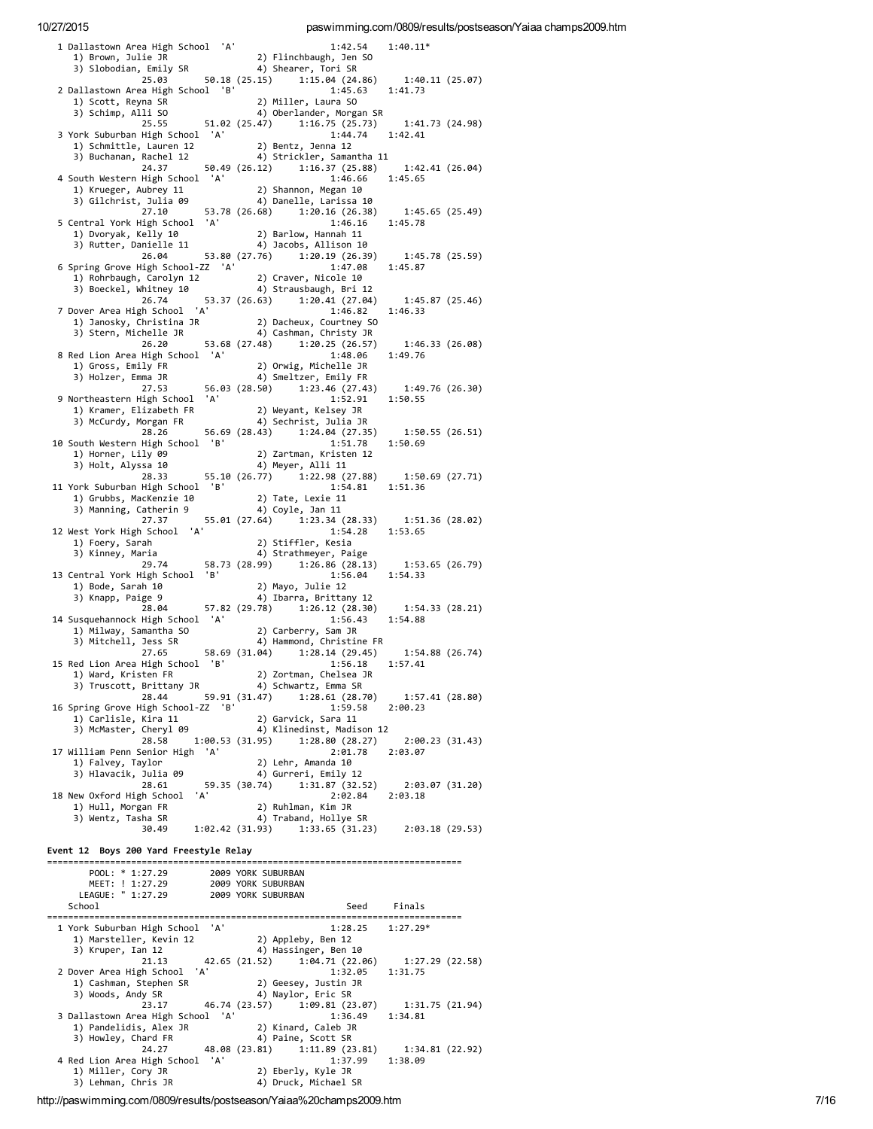| 1 Dallastown Area High School 'A'<br>1) Brown, Julie JR                                                                    |  | 1:42.54<br>2) Flinchbaugh, Jen SO                                                  | $1:40.11*$                 |  |
|----------------------------------------------------------------------------------------------------------------------------|--|------------------------------------------------------------------------------------|----------------------------|--|
| 3) Slobodian, Emily SR<br>50.18 (25.15)<br>25.03                                                                           |  | 4) Shearer, Tori SR<br>1:15.04(24.86)                                              | 1:40.11 (25.07)            |  |
| 2 Dallastown Area High School 'B'<br>1) Scott, Reyna SR                                                                    |  | 1:45.63<br>2) Miller, Laura SO                                                     | 1:41.73                    |  |
| 3) Schimp, Alli SO<br>25.55<br>51.02 (25.47)                                                                               |  | 4) Oberlander, Morgan SR<br>1:16.75(25.73)                                         |                            |  |
| 3 York Suburban High School 'A'                                                                                            |  | 1:44.74                                                                            | 1:41.73(24.98)<br>1:42.41  |  |
| 1) Schmittle, Lauren 12<br>3) Buchanan, Rachel 12                                                                          |  | 2) Bentz, Jenna 12<br>4) Strickler, Samantha 11                                    |                            |  |
| 24.37<br>4 South Western High School 'A'                                                                                   |  | 50.49 (26.12) 1:16.37 (25.88)<br>1:46.66                                           | 1:42.41(26.04)<br>1:45.65  |  |
| 1) Krueger, Aubrey 11<br>3) Gilchrist, Julia 09                                                                            |  | 2) Shannon, Megan 10<br>4) Danelle, Larissa 10                                     |                            |  |
| 27.10<br>5 Central York High School 'A'                                                                                    |  | 53.78 (26.68) 1:20.16 (26.38)<br>1:46.16                                           | 1:45.65(25.49)<br>1:45.78  |  |
| 1) Dvoryak, Kelly 10                                                                                                       |  | 2) Barlow, Hannah 11                                                               |                            |  |
| 3) Rutter, Danielle 11<br>26.04                                                                                            |  | 4) Jacobs, Allison 10<br>53.80 (27.76) 1:20.19 (26.39)                             | 1:45.78(25.59)             |  |
| 6 Spring Grove High School-ZZ 'A'<br>1) Rohrbaugh, Carolyn 12                                                              |  | 1:47.08<br>2) Craver, Nicole 10                                                    | 1:45.87                    |  |
| 3) Boeckel, Whitney 10<br>26.74<br>53.37 (26.63)                                                                           |  | 4) Strausbaugh, Bri 12<br>1:20.41(27.04)                                           | 1:45.87 (25.46)            |  |
| 7 Dover Area High School 'A'<br>ט אבר - Janosky, Christina JR<br>פר בין ישראל                                              |  | 1:46.82                                                                            | 1:46.33                    |  |
| 3) Stern, Michelle JR<br>26.20                                                                                             |  | 2) Dacheux, Courtney SO<br>4) Cashman, Christy JR<br>53.68 (27.48) 1:20.25 (26.57) | 1:46.33(26.08)             |  |
| 8 Red Lion Area High School 'A'                                                                                            |  | 1:48.06                                                                            | 1:49.76                    |  |
| 1) Gross, Emily FR<br>3) Holzer, Emma JR                                                                                   |  | 2) Orwig, Michelle JR<br>4) Smeltzer, Emily FR                                     |                            |  |
| 27.53<br>56.03 (28.50)<br>9 Northeastern High School 'A'                                                                   |  | 1:23.46(27.43)<br>1:52.91                                                          | 1:49.76 (26.30)<br>1:50.55 |  |
| 1) Kramer, Elizabeth FR<br>3) McCurdy, Morgan FR                                                                           |  | 2) Weyant, Kelsey JR<br>4) Sechrist, Julia JR                                      |                            |  |
| 56.69 (28.43)<br>28.26<br>10 South Western High School 'B'                                                                 |  | 1:24.04(27.35)<br>1:51.78                                                          | 1:50.55(26.51)<br>1:50.69  |  |
| 1) Horner, Lily 09<br>3) Holt, Alyssa 10                                                                                   |  | 2) Zartman, Kristen 12<br>4) Meyer, Alli 11                                        |                            |  |
| 28.33                                                                                                                      |  | 55.10 (26.77) 1:22.98 (27.88)                                                      | 1:50.69(27.71)             |  |
| 11 York Suburban High School 'B'<br>1) Grubbs, MacKenzie 10                                                                |  | 1:54.81<br>2) Tate, Lexie $11$                                                     | 1:51.36                    |  |
| 3) Manning, Catherin 9<br>27.37                                                                                            |  | 4) Coyle, Jan 11<br>55.01 (27.64) 1:23.34 (28.33)                                  | 1:51.36 (28.02)            |  |
| 12 West York High School 'A'<br>1) Foery, Sarah                                                                            |  | 1:54.28<br>2) Stiffler, Kesia                                                      | 1:53.65                    |  |
| 3) Kinney, Maria<br>29.74                                                                                                  |  | 4) Strathmeyer, Paige<br>58.73 (28.99) 1:26.86 (28.13)                             | 1:53.65 (26.79)            |  |
| 13 Central York High School 'B'<br>1) Bode, Sarah 10                                                                       |  | 1:56.04<br>2) Mayo, Julie 12                                                       | 1:54.33                    |  |
| 3) Knapp, Paige 9                                                                                                          |  | 4) Ibarra, Brittany 12                                                             |                            |  |
| 28.04<br>14 Susquehannock High School 'A'                                                                                  |  | 57.82 (29.78) 1:26.12 (28.30)<br>1:56.43                                           | 1:54.33 (28.21)<br>1:54.88 |  |
| 1) Milway, Samantha SO<br>3) Mitchell, Jess SR                                                                             |  | 2) Carberry, Sam JR<br>4) Hammond, Christine FR                                    |                            |  |
| 27.65<br>15 Red Lion Area High School 'B'                                                                                  |  | 58.69 (31.04) 1:28.14 (29.45)<br>1:56.18                                           | 1:54.88 (26.74)<br>1:57.41 |  |
| 1) Ward, Kristen FR<br>3) Truscott, Brittany JR (2) Schwartz, Emma SR                                                      |  | 2) Zortman, Chelsea JR                                                             |                            |  |
| 28.44<br>16 Spring Grove High School-ZZ 'B'                                                                                |  | 59.91 (31.47)    1:28.61 (28.70)    1:57.41 (28.80)<br>1:59.58 2:00.23             |                            |  |
| 1) Carlisle, Kira 11<br>3) McMaster, Cheryl 09 4) Klinedinst, Madison 12                                                   |  | 2) Garvick, Sara 11                                                                |                            |  |
|                                                                                                                            |  | 28.58 1:00.53 (31.95) 1:28.80 (28.27)                                              | 2:00.23(31.43)             |  |
| 17 William Penn Senior High 'A'<br>1) Falvey, Taylor                                                                       |  | 2:01.78<br>2) Lehr, Amanda 10                                                      | 2:03.07                    |  |
| 1) Falvey, Taylor<br>3) Hlavacik, Julia 09<br>28.61 59.35 (30.74) 1:31.87 (32.52) 2:03.07 (31.20)<br>31.32 3:03.94 2:03.18 |  |                                                                                    |                            |  |
| 18 New Oxford High School 'A'<br>1) Hull, Morgan FR                                                                        |  | 2:02.84<br>2) Ruhlman, Kim JR                                                      | 2:03.18                    |  |
| 3) Wentz, Tasha SR                                                                                                         |  | 4) Traband, Hollye SR<br>30.49 1:02.42 (31.93) 1:33.65 (31.23) 2:03.18 (29.53)     |                            |  |
| Event 12 Boys 200 Yard Freestyle Relay                                                                                     |  |                                                                                    |                            |  |
|                                                                                                                            |  |                                                                                    |                            |  |
| 900L: * 1:27.29 2009 YORK SUBURBAN<br>MEET: ! 1:27.29 2009 YORK SUBURBAN<br>LEAGUE: " 1:27.29 2009 YORK SUBURBAN           |  |                                                                                    |                            |  |
| School                                                                                                                     |  | Seed Finals                                                                        |                            |  |
| 1 York Suburban High School 'A'                                                                                            |  | 1:28.25                                                                            | $1:27.29*$                 |  |
| 1) Marsteller, Kevin 12<br>3) Kruper, Ian 12                                                                               |  | 2) Appleby, Ben 12<br>4) Hassinger, Ben 10                                         |                            |  |
| 42.65 (21.52)<br>21.13<br>2 Dover Area High School 'A'                                                                     |  | 1:04.71(22.06)<br>1:32.05                                                          | 1:27.29 (22.58)<br>1:31.75 |  |
| 1) Cashman, Stephen SR<br>3) Woods, Andy SR                                                                                |  | 2) Geesey, Justin JR<br>4) Naylor, Eric SR                                         |                            |  |
|                                                                                                                            |  | 23.17 46.74 (23.57) 1:09.81 (23.07)                                                | 1:31.75 (21.94)            |  |
| 3 Dallastown Area High School 'A'<br>1) Pandelidis, Alex JR                                                                |  | 1:36.49<br>2) Kinard, Caleb JR                                                     | 1:34.81                    |  |
| 3) Howley, Chard FR<br>24.27                                                                                               |  | 4) Paine, Scott SR<br>48.08 (23.81) 1:11.89 (23.81)                                | 1:34.81 (22.92)            |  |
| 4 Red Lion Area High School 'A'<br>1) Miller, Cory JR                                                                      |  | 1:37.99<br>2) Eberly, Kyle JR                                                      | 1:38.09                    |  |
| 3) Lehman, Chris JR                                                                                                        |  | 4) Druck, Michael SR                                                               |                            |  |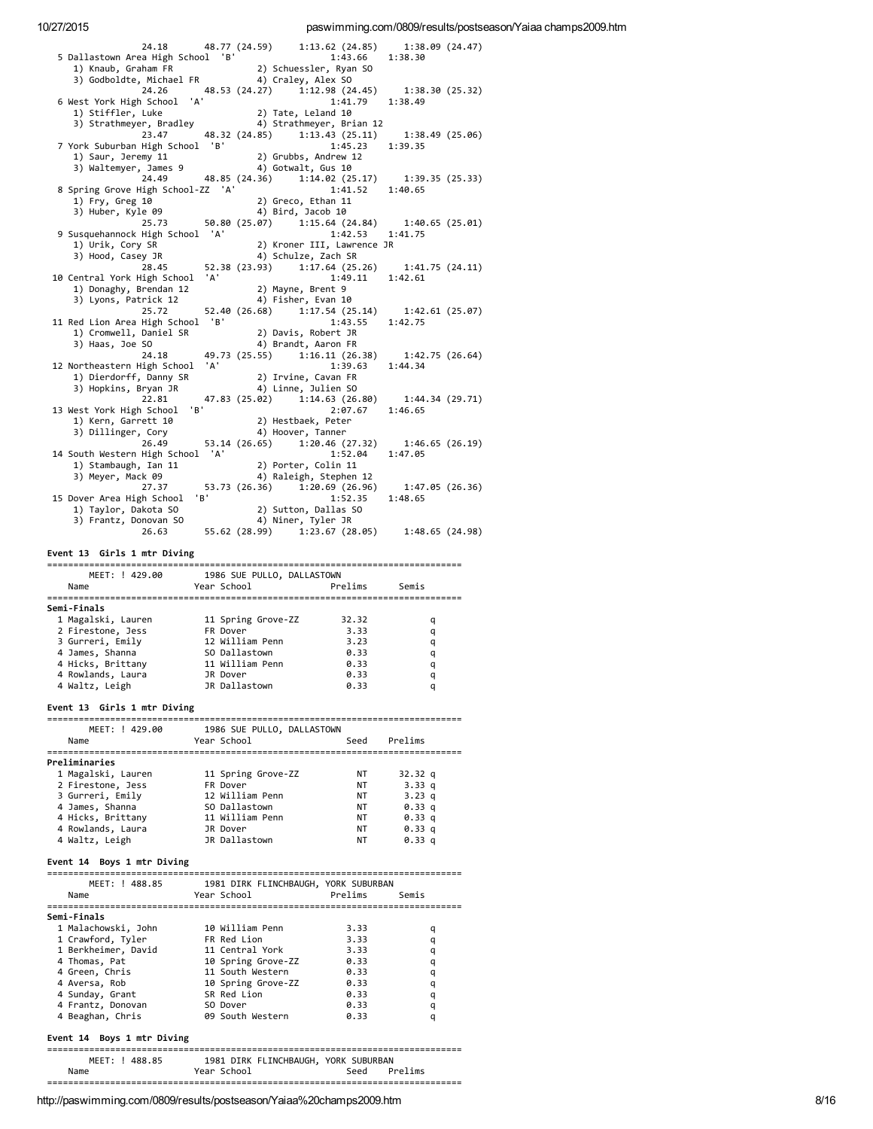| 5 Dallastown Area High School 'B'                                                                                                                                                                                                                             | 24.18  48.77 (24.59)  1:13.62 (24.85)  1:38.09 (24.47)                                                                                                                | 1:43.66 1:38.30            |                  |
|---------------------------------------------------------------------------------------------------------------------------------------------------------------------------------------------------------------------------------------------------------------|-----------------------------------------------------------------------------------------------------------------------------------------------------------------------|----------------------------|------------------|
|                                                                                                                                                                                                                                                               |                                                                                                                                                                       |                            |                  |
|                                                                                                                                                                                                                                                               |                                                                                                                                                                       |                            |                  |
| 6 West York High School 'A'                                                                                                                                                                                                                                   | 24.26 48.53 (24.27) 1:12.98 (24.45) 1:38.30 (25.32)                                                                                                                   |                            |                  |
| 1) Stiffler, Luke                                                                                                                                                                                                                                             | 2) Tate, Leland 10                                                                                                                                                    | $1:\dot{4}1.79$ 1:38.49    |                  |
|                                                                                                                                                                                                                                                               | 1) Stiffler, Luke 2) Tate, Leland 10<br>3) Strathmeyer, Bradley 4, Strathmeyer, Brian 12<br>23.47 48.32 (24.85) 1:13.43 (25.11) 1:38.49 (25.06)                       |                            |                  |
|                                                                                                                                                                                                                                                               |                                                                                                                                                                       |                            |                  |
| 7 York Suburban High School 'B'                                                                                                                                                                                                                               |                                                                                                                                                                       | 1:45.23                    | 1:39.35          |
|                                                                                                                                                                                                                                                               | (ork Suburban (iig), 2003.<br>1) Saur, Jeremy 11<br>3) Waltemyer, James 9 (24.36) 1:14.02 (25.17) 1:39.35 (25.33)<br>24.49 (25.33) 1:41.52 1:40.65                    |                            |                  |
|                                                                                                                                                                                                                                                               |                                                                                                                                                                       |                            |                  |
|                                                                                                                                                                                                                                                               |                                                                                                                                                                       |                            |                  |
| 8 Spring Grove High School-ZZ 'A'                                                                                                                                                                                                                             |                                                                                                                                                                       |                            |                  |
| 1) Fry, Greg 10                                                                                                                                                                                                                                               | 2) Greco, Ethan 11                                                                                                                                                    |                            |                  |
| 3) Huber, Kyle 09                                                                                                                                                                                                                                             |                                                                                                                                                                       |                            |                  |
|                                                                                                                                                                                                                                                               |                                                                                                                                                                       | 1:42.53 1:41.75            |                  |
| 9 Susquehannock High School 'A'<br>1) Urik, Cory SR                                                                                                                                                                                                           |                                                                                                                                                                       |                            |                  |
| 3) Hood, Casey JR                                                                                                                                                                                                                                             | 4) Schulze, Zach SR                                                                                                                                                   | 2) Kroner III, Lawrence JR |                  |
|                                                                                                                                                                                                                                                               |                                                                                                                                                                       |                            |                  |
| 10 Central York High School 'A'                                                                                                                                                                                                                               | 29 JK<br>28.45 52.38 (23.93) 1:17.64 (25.26) 1:41.75 (24.11)<br>4 1:49.11 1:42.61                                                                                     |                            |                  |
| 1) Donaghy, Brendan 12                                                                                                                                                                                                                                        |                                                                                                                                                                       |                            |                  |
| 3) Lyons, Patrick 12                                                                                                                                                                                                                                          | 2) Mayne, Brent 9<br>4) Fisher, Evan 10                                                                                                                               |                            |                  |
| 25.72                                                                                                                                                                                                                                                         | 52.40 (26.68) 1:17.54 (25.14)                                                                                                                                         |                            | 1:42.61 (25.07)  |
| 11 Red Lion Area High School 'B'                                                                                                                                                                                                                              |                                                                                                                                                                       | 1:43.55                    | 1:42.75          |
|                                                                                                                                                                                                                                                               | 1) Cromwell, Daniel SR 2) Davis, Robert JR<br>2) Upse Jac 50                                                                                                          |                            |                  |
| 3) Haas, Joe SO                                                                                                                                                                                                                                               | 4) Brandt, Aaron FR                                                                                                                                                   |                            |                  |
|                                                                                                                                                                                                                                                               | 24.18 49.73 (25.55) 1:16.11 (26.38) 1:42.75 (26.64)                                                                                                                   |                            |                  |
| 12 Northeastern High School 'A'                                                                                                                                                                                                                               |                                                                                                                                                                       | 1:39.63 1:44.34            |                  |
|                                                                                                                                                                                                                                                               | 1) Dierdorff, Danny SR (2) Irvine, Cavan FR<br>3) Hopkins, Bryan JR (4) Linne, Julien SO                                                                              |                            |                  |
|                                                                                                                                                                                                                                                               |                                                                                                                                                                       |                            |                  |
| 22.81                                                                                                                                                                                                                                                         | 47.83 (25.02) $1:14.63$ (26.80) $1:44.34$ (29.71)<br>$1:8'$ 2:07.67 1:46.65                                                                                           |                            |                  |
| 13 West York High School                                                                                                                                                                                                                                      |                                                                                                                                                                       |                            |                  |
|                                                                                                                                                                                                                                                               | 2) Hestbaek, Peter                                                                                                                                                    |                            |                  |
| est York nights<br>1) Kern, Garrett 10<br>10 Million Corv                                                                                                                                                                                                     | 4) Hoover, Tanner                                                                                                                                                     |                            |                  |
| 26.49                                                                                                                                                                                                                                                         | 53.14 $(26.65)$ 1:20.46 $(27.32)$ 1:46.65 $(26.19)$                                                                                                                   |                            |                  |
| 14 South Western High School 'A'                                                                                                                                                                                                                              |                                                                                                                                                                       | 1:52.04                    | 1:47.05          |
| $\sum_{k=1}^{n}$ Stambaugh, Ian 11                                                                                                                                                                                                                            | 2) Porter, Colin 11                                                                                                                                                   |                            |                  |
| 3) Meyer, Mack 09                                                                                                                                                                                                                                             |                                                                                                                                                                       | 4) Raleigh, Stephen 12     |                  |
|                                                                                                                                                                                                                                                               | 27.37 53.73 (26.36) 1:20.69 (26.96) 1:47.05 (26.36)                                                                                                                   |                            |                  |
| 15 Dover Area High School 'B'                                                                                                                                                                                                                                 |                                                                                                                                                                       | 1:52.35                    | 1:48.65          |
|                                                                                                                                                                                                                                                               |                                                                                                                                                                       |                            |                  |
|                                                                                                                                                                                                                                                               |                                                                                                                                                                       |                            |                  |
|                                                                                                                                                                                                                                                               |                                                                                                                                                                       |                            |                  |
| Event 13 Girls 1 mtr Diving                                                                                                                                                                                                                                   |                                                                                                                                                                       |                            |                  |
|                                                                                                                                                                                                                                                               |                                                                                                                                                                       |                            |                  |
|                                                                                                                                                                                                                                                               |                                                                                                                                                                       |                            |                  |
|                                                                                                                                                                                                                                                               |                                                                                                                                                                       |                            |                  |
| Name                                                                                                                                                                                                                                                          |                                                                                                                                                                       |                            |                  |
|                                                                                                                                                                                                                                                               |                                                                                                                                                                       |                            |                  |
|                                                                                                                                                                                                                                                               |                                                                                                                                                                       |                            |                  |
|                                                                                                                                                                                                                                                               |                                                                                                                                                                       |                            | q                |
|                                                                                                                                                                                                                                                               |                                                                                                                                                                       |                            | q                |
|                                                                                                                                                                                                                                                               |                                                                                                                                                                       |                            | q                |
|                                                                                                                                                                                                                                                               |                                                                                                                                                                       |                            | q                |
|                                                                                                                                                                                                                                                               |                                                                                                                                                                       |                            | q                |
| 1 Magalski, Lauren 11 Spring Grove-ZZ 32.32<br>2 Firestone, Jess FR Dover 3.33<br>3 Gurreri, Emily 12 William Penn 3.23<br>4 James, Shanna 50 Dallastown 0.33<br>4 Hicks, Brittany 11 William Penn 0.33<br>4 Rowlands, Laura 1R Dover 0.<br>4 Rowlands, Laura | JR Dover                                                                                                                                                              | 0.33                       | q                |
| 4 Waltz, Leigh                                                                                                                                                                                                                                                | JR Dallastown                                                                                                                                                         | 0.33                       | q                |
|                                                                                                                                                                                                                                                               |                                                                                                                                                                       |                            |                  |
|                                                                                                                                                                                                                                                               |                                                                                                                                                                       |                            |                  |
|                                                                                                                                                                                                                                                               |                                                                                                                                                                       |                            |                  |
|                                                                                                                                                                                                                                                               | MEET: ! 429.00 1986 SUE PULLO, DALLASTOWN                                                                                                                             |                            |                  |
| Name                                                                                                                                                                                                                                                          | Year School Seed Prelims                                                                                                                                              |                            |                  |
|                                                                                                                                                                                                                                                               |                                                                                                                                                                       |                            |                  |
|                                                                                                                                                                                                                                                               |                                                                                                                                                                       |                            |                  |
|                                                                                                                                                                                                                                                               |                                                                                                                                                                       | <b>NT</b><br><b>NT</b>     | 32.32 q          |
|                                                                                                                                                                                                                                                               |                                                                                                                                                                       |                            | 3.33 q           |
| 1 Magalski, Lauren 11 Spring Grove-ZZ<br>2 Firestone, Jess FR Dover<br>3 Gurreri, Emily 12 William Penn                                                                                                                                                       |                                                                                                                                                                       | <b>NT</b>                  | 3.23 q<br>0.33 q |
|                                                                                                                                                                                                                                                               |                                                                                                                                                                       | NT<br><b>NT</b>            | 0.33 a           |
|                                                                                                                                                                                                                                                               |                                                                                                                                                                       | <b>NT</b>                  | 0.33 q           |
|                                                                                                                                                                                                                                                               |                                                                                                                                                                       | NT                         | 0.33 q           |
| 3 Gurreri, Emily<br>4 James, Shanna<br>4 Hicks, Brittany<br>4 Hicks, Brittany<br>4 Rowlands, Laura<br>4 Waltz, Leigh<br>4 Waltz, Leigh<br>4 Maltz, Leigh<br>1 Dover<br>1 Ballastown<br>1 Rallastown                                                           |                                                                                                                                                                       |                            |                  |
|                                                                                                                                                                                                                                                               |                                                                                                                                                                       |                            |                  |
|                                                                                                                                                                                                                                                               |                                                                                                                                                                       |                            |                  |
|                                                                                                                                                                                                                                                               | MEET: ! 488.85 1981 DIRK FLINCHBAUGH, YORK SUBURBAN                                                                                                                   |                            |                  |
| Name                                                                                                                                                                                                                                                          | Prelims Year School Prelims                                                                                                                                           |                            | Semis            |
|                                                                                                                                                                                                                                                               |                                                                                                                                                                       |                            |                  |
|                                                                                                                                                                                                                                                               |                                                                                                                                                                       |                            |                  |
| 1 Malachowski, John         10 William Penn                                                                                                                                                                                                                   |                                                                                                                                                                       | 3.33                       | q                |
|                                                                                                                                                                                                                                                               |                                                                                                                                                                       | 3.33                       | q                |
| 1 Crawford, Tyler<br>1 Berkheimer, David                                                                                                                                                                                                                      |                                                                                                                                                                       |                            | q                |
| 4 Thomas, Pat                                                                                                                                                                                                                                                 |                                                                                                                                                                       |                            | q                |
|                                                                                                                                                                                                                                                               |                                                                                                                                                                       | 0.33                       | q                |
| 4 Green, Chris<br>4 Aversa, Rob                                                                                                                                                                                                                               |                                                                                                                                                                       |                            | q                |
| 4 Sunday, Grant                                                                                                                                                                                                                                               |                                                                                                                                                                       |                            | q                |
|                                                                                                                                                                                                                                                               | FR Red Lion<br>11 Central York 3.33<br>11 Central York 3.33<br>10 Spring Grove-ZZ 0.33<br>10 Spring Grove-ZZ 0.33<br>5R Red Lion 0.33<br>5R Red Lion 0.33<br>SO Dover | 0.33                       | q                |
| 4 Frantz, Donovan<br>4 Beaghan, Chris                                                                                                                                                                                                                         | 09 South Western 0.33                                                                                                                                                 |                            | q                |
|                                                                                                                                                                                                                                                               |                                                                                                                                                                       |                            |                  |
|                                                                                                                                                                                                                                                               |                                                                                                                                                                       |                            |                  |
|                                                                                                                                                                                                                                                               |                                                                                                                                                                       |                            |                  |
| Semi-Finals<br>Event 13 Girls 1 mtr Diving<br>Preliminaries<br>Event 14 Boys 1 mtr Diving<br>Semi-Finals<br>Event 14 Boys 1 mtr Diving                                                                                                                        | MEET: ! 488.85 1981 DIRK FLINCHBAUGH, YORK SUBURBAN                                                                                                                   |                            |                  |
| Name                                                                                                                                                                                                                                                          | Year School Seed Prelims                                                                                                                                              |                            |                  |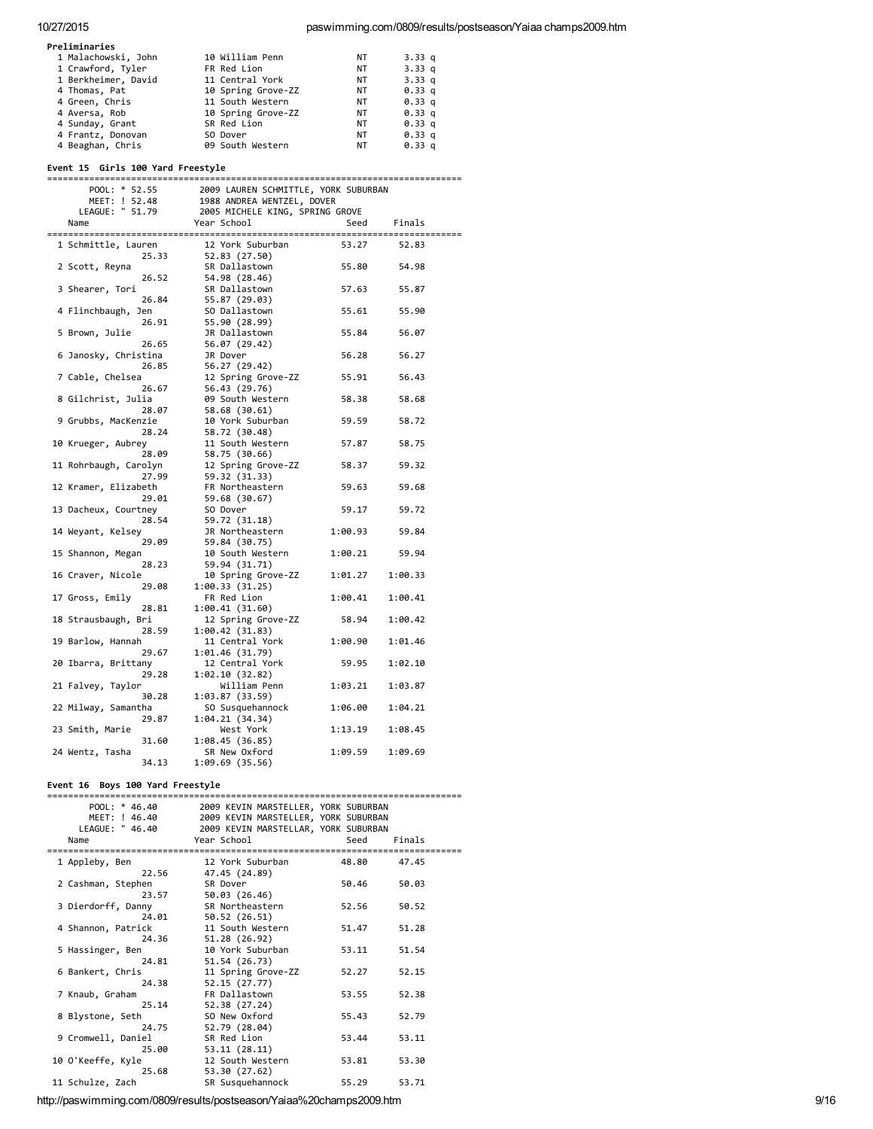| Preliminaries       |                    |           |                   |
|---------------------|--------------------|-----------|-------------------|
| 1 Malachowski, John | 10 William Penn    | NΤ        | 3.33q             |
| 1 Crawford, Tyler   | FR Red Lion        | NT        | 3.33q             |
| 1 Berkheimer, David | 11 Central York    | NT        | 3.33q             |
| 4 Thomas, Pat       | 10 Spring Grove-ZZ | NT        | 0.33 <sub>q</sub> |
| 4 Green, Chris      | 11 South Western   | <b>NT</b> | 0.33 <sub>q</sub> |
| 4 Aversa, Rob       | 10 Spring Grove-ZZ | <b>NT</b> | 0.33 <sub>q</sub> |
| 4 Sunday, Grant     | SR Red Lion        | NT        | 0.33 <sub>q</sub> |
| 4 Frantz, Donovan   | SO Dover           | NT        | 0.33 <sub>q</sub> |
| 4 Beaghan, Chris    | 09 South Western   | <b>NT</b> | 0.33q             |

#### Event 15 Girls 100 Yard Freestyle

| POOL: * 52.55         | 2009 LAUREN SCHMITTLE, YORK SUBURBAN                                                        |         |         |  |
|-----------------------|---------------------------------------------------------------------------------------------|---------|---------|--|
| MEET: ! 52.48         |                                                                                             |         |         |  |
| LEAGUE: " 51.79       | 1988 ANDREA WENTZEL, DOVER<br>1988 ANDREA WENTZEL, DOVER<br>2005 MICHELE KING, SPRING GROVE |         |         |  |
| Name                  | Year School                                                                                 | Seed    | Finals  |  |
|                       |                                                                                             |         |         |  |
| 1 Schmittle, Lauren   | 12 York Suburban                                                                            | 53.27   | 52.83   |  |
| 25.33                 | 52.83 (27.50)                                                                               |         |         |  |
| 2 Scott, Reyna        | SR Dallastown                                                                               | 55.80   | 54.98   |  |
| 26.52                 | 54.98 (28.46)                                                                               |         |         |  |
| 3 Shearer, Tori       | SR Dallastown                                                                               | 57.63   | 55.87   |  |
| 26.84                 | 55.87 (29.03)                                                                               |         |         |  |
| 4 Flinchbaugh, Jen    | SO Dallastown                                                                               | 55.61   | 55.90   |  |
| 26.91                 | 55.90 (28.99)                                                                               |         |         |  |
| 5 Brown, Julie        | JR Dallastown                                                                               | 55.84   | 56.07   |  |
| 26.65                 | 56.07 (29.42)                                                                               |         |         |  |
| 6 Janosky, Christina  | JR Dover                                                                                    | 56.28   | 56.27   |  |
| 26.85                 | 56.27 (29.42)                                                                               |         |         |  |
| 7 Cable, Chelsea      | 12 Spring Grove-ZZ                                                                          | 55.91   | 56.43   |  |
| 26.67                 | 56.43 (29.76)                                                                               |         |         |  |
| 8 Gilchrist, Julia    | 09 South Western                                                                            | 58.38   | 58.68   |  |
| 28.07                 | 58.68 (30.61)                                                                               |         |         |  |
| 9 Grubbs, MacKenzie   | 10 York Suburban                                                                            | 59.59   | 58.72   |  |
| 28.24                 | 58.72 (30.48)                                                                               |         |         |  |
| 10 Krueger, Aubrey    | 11 South Western                                                                            | 57.87   | 58.75   |  |
| 28.09                 |                                                                                             |         |         |  |
|                       | 58.75 (30.66)                                                                               |         |         |  |
| 11 Rohrbaugh, Carolyn | 12 Spring Grove-ZZ                                                                          | 58.37   | 59.32   |  |
| 27.99                 | 59.32 (31.33)                                                                               |         |         |  |
| 12 Kramer, Elizabeth  | FR Northeastern                                                                             | 59.63   | 59.68   |  |
| 29.01                 | 59.68 (30.67)                                                                               |         |         |  |
| 13 Dacheux, Courtney  | SO Dover                                                                                    | 59.17   | 59.72   |  |
| 28.54                 | 59.72 (31.18)                                                                               |         |         |  |
| 14 Weyant, Kelsey     | JR Northeastern                                                                             | 1:00.93 | 59.84   |  |
| 29.09                 | 59.84 (30.75)                                                                               |         |         |  |
| 15 Shannon, Megan     | 10 South Western                                                                            | 1:00.21 | 59.94   |  |
| 28.23                 | 59.94 (31.71)                                                                               |         |         |  |
| 16 Craver, Nicole     | 10 Spring Grove-ZZ                                                                          | 1:01.27 | 1:00.33 |  |
| 29.08                 | 1:00.33(31.25)                                                                              |         |         |  |
| 17 Gross, Emily       | FR Red Lion                                                                                 | 1:00.41 | 1:00.41 |  |
| 28.81                 | 1:00.41(31.60)                                                                              |         |         |  |
| 18 Strausbaugh, Bri   | 12 Spring Grove-ZZ                                                                          | 58.94   | 1:00.42 |  |
| 28.59                 | 1:00.42(31.83)                                                                              |         |         |  |
| 19 Barlow, Hannah     | 11 Central York                                                                             | 1:00.90 | 1:01.46 |  |
| 29.67                 | 1:01.46 (31.79)                                                                             |         |         |  |
| 20 Ibarra, Brittany   | 12 Central York                                                                             | 59.95   | 1:02.10 |  |
| 29.28                 | 1:02.10(32.82)                                                                              |         |         |  |
| 21 Falvey, Taylor     | William Penn                                                                                | 1:03.21 | 1:03.87 |  |
| 30.28                 | 1:03.87(33.59)                                                                              |         |         |  |
| 22 Milway, Samantha   | SO Susquehannock                                                                            | 1:06.00 | 1:04.21 |  |
| 29.87                 | 1:04.21(34.34)                                                                              |         |         |  |
| 23 Smith, Marie       | West York                                                                                   | 1:13.19 | 1:08.45 |  |
| 31.60                 | 1:08.45(36.85)                                                                              |         |         |  |
| 24 Wentz, Tasha       | SR New Oxford                                                                               | 1:09.59 | 1:09.69 |  |
| 34.13                 | 1:09.69(35.56)                                                                              |         |         |  |

#### Event 16 Boys 100 Yard Freestyle

| POOL: * 46.40      | 2009 KEVIN MARSTELLER, YORK SUBURBAN |                |
|--------------------|--------------------------------------|----------------|
| MEET: ! 46.40      | 2009 KEVIN MARSTELLER, YORK SUBURBAN |                |
| LEAGUE: " 46.40    | 2009 KEVIN MARSTELLAR, YORK SUBURBAN |                |
| Name               | Year School                          | Seed<br>Finals |
|                    |                                      |                |
| 1 Appleby, Ben     | 12 York Suburban                     | 48.80<br>47.45 |
| 22.56              | 47.45 (24.89)                        |                |
| 2 Cashman, Stephen | SR Dover                             | 50.46<br>50.03 |
| 23.57              | 50.03 (26.46)                        |                |
| 3 Dierdorff, Danny | SR Northeastern                      | 52.56<br>50.52 |
| 24.01              | 50.52 (26.51)                        |                |
| 4 Shannon, Patrick | 11 South Western                     | 51.47<br>51.28 |
| 24.36              | 51.28 (26.92)                        |                |
| 5 Hassinger, Ben   | 10 York Suburban                     | 53.11<br>51.54 |
| 24.81              | 51.54 (26.73)                        |                |
| 6 Bankert, Chris   | 11 Spring Grove-ZZ                   | 52.27<br>52.15 |
| 24.38              | 52.15 (27.77)                        |                |
| 7 Knaub, Graham    | FR Dallastown                        | 53.55<br>52.38 |
| 25.14              | 52.38 (27.24)                        |                |
| 8 Blystone, Seth   | SO New Oxford                        | 55.43<br>52.79 |
| 24.75              | 52.79 (28.04)                        |                |
| 9 Cromwell, Daniel | SR Red Lion                          | 53.44<br>53.11 |
| 25.00              | 53.11(28.11)                         |                |
| 10 O'Keeffe, Kyle  | 12 South Western                     | 53.81<br>53.30 |
| 25.68              | 53.30 (27.62)                        |                |
| 11 Schulze, Zach   | SR Susquehannock                     | 55.29<br>53.71 |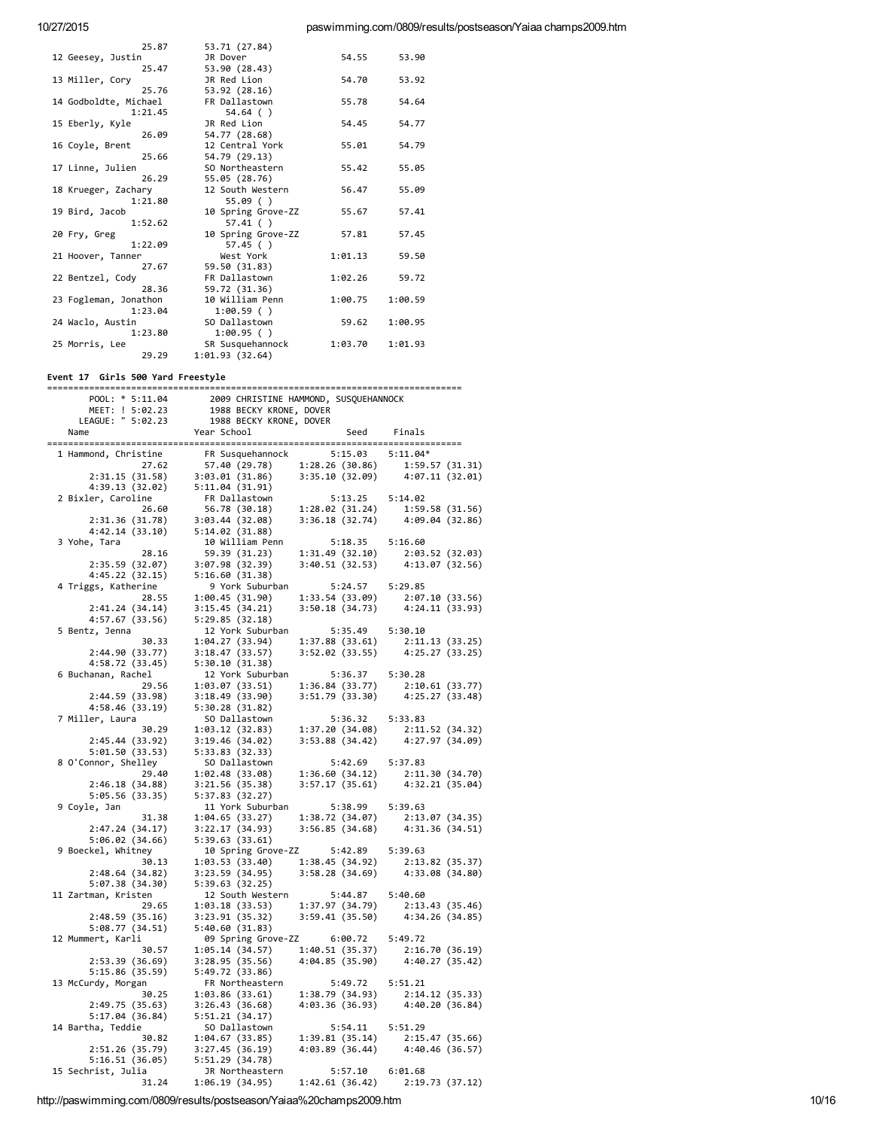| 25.87                 | 53.71 (27.84)      |         |         |
|-----------------------|--------------------|---------|---------|
| 12 Geesey, Justin     | JR Dover           | 54.55   | 53.90   |
| 25.47                 | 53.90 (28.43)      |         |         |
| 13 Miller, Cory       | JR Red Lion        | 54.70   | 53.92   |
| 25.76                 | 53.92 (28.16)      |         |         |
| 14 Godboldte, Michael | FR Dallastown      | 55.78   | 54.64   |
| 1:21.45               | $54.64$ ()         |         |         |
| 15 Eberly, Kyle       | JR Red Lion        | 54.45   | 54.77   |
| 26.09                 | 54.77 (28.68)      |         |         |
| 16 Coyle, Brent       | 12 Central York    | 55.01   | 54.79   |
| 25.66                 | 54.79 (29.13)      |         |         |
| 17 Linne, Julien      | SO Northeastern    | 55.42   | 55.05   |
| 26.29                 | 55.05 (28.76)      |         |         |
| 18 Krueger, Zachary   | 12 South Western   | 56.47   | 55.09   |
| 1:21.80               | 55.09()            |         |         |
| 19 Bird, Jacob        | 10 Spring Grove-ZZ | 55.67   | 57.41   |
| 1:52.62               | 57.41()            |         |         |
| 20 Fry, Greg          | 10 Spring Grove-ZZ | 57.81   | 57.45   |
| 1:22.09               | 57.45 ()           |         |         |
| 21 Hoover, Tanner     | West York          | 1:01.13 | 59.50   |
| 27.67                 | 59.50 (31.83)      |         |         |
| 22 Bentzel, Cody      | FR Dallastown      | 1:02.26 | 59.72   |
| 28.36                 | 59.72 (31.36)      |         |         |
| 23 Fogleman, Jonathon | 10 William Penn    | 1:00.75 | 1:00.59 |
| 1:23.04               | 1:00.59()          |         |         |
| 24 Waclo, Austin      | SO Dallastown      | 59.62   | 1:00.95 |
| 1:23.80               | 1:00.95()          |         |         |
| 25 Morris, Lee        | SR Susquehannock   | 1:03.70 | 1:01.93 |
| 29.29                 | 1:01.93(32.64)     |         |         |

# Event 17 Girls 500 Yard Freestyle

|                                                                    | POOL: * 5:11.04 2009 CHRISTINE HAMMOND, SUSQUEHANNOCK<br>MEET: ! 5:02.23 1988 BECKY KRONE, DOVER<br>LEAGUE: " 5:02.23 1988 BECKY KRONE, DOVER<br>Vear School Seed Fir                                                                  |                                                                                                                             |
|--------------------------------------------------------------------|----------------------------------------------------------------------------------------------------------------------------------------------------------------------------------------------------------------------------------------|-----------------------------------------------------------------------------------------------------------------------------|
|                                                                    |                                                                                                                                                                                                                                        |                                                                                                                             |
|                                                                    |                                                                                                                                                                                                                                        |                                                                                                                             |
| Name                                                               |                                                                                                                                                                                                                                        | Seed Finals                                                                                                                 |
|                                                                    |                                                                                                                                                                                                                                        |                                                                                                                             |
|                                                                    | 1 Hammond, Christine FR Susquehannock 5:15.03 5:11.04*<br>27.62 57.40 (29.78) 1:28.26 (30.86) 1:59.57 (31.31)<br>2:31.15 (31.58) 3:03.01 (31.86) 3:35.10 (32.09) 4:07.11 (32.01)<br>4:39.13 (32.02) 5:11.04 (31.91)<br>2 Bixler, Carol |                                                                                                                             |
|                                                                    |                                                                                                                                                                                                                                        |                                                                                                                             |
|                                                                    |                                                                                                                                                                                                                                        |                                                                                                                             |
|                                                                    |                                                                                                                                                                                                                                        |                                                                                                                             |
|                                                                    |                                                                                                                                                                                                                                        |                                                                                                                             |
|                                                                    |                                                                                                                                                                                                                                        |                                                                                                                             |
|                                                                    |                                                                                                                                                                                                                                        |                                                                                                                             |
|                                                                    |                                                                                                                                                                                                                                        |                                                                                                                             |
| 3 Yohe, Tara                                                       | 10 William Penn                                                                                                                                                                                                                        | 5:18.35 5:16.60                                                                                                             |
| 28.16                                                              | 59.39 (31.23)                                                                                                                                                                                                                          |                                                                                                                             |
| 2:35.59 (32.07)                                                    | 3:07.98 (32.39)                                                                                                                                                                                                                        | $\begin{array}{lll} 1:31.49 & (32.10) & \quad 2:03.52 & (32.03) \\ 3:40.51 & (32.53) & \quad 4:13.07 & (32.56) \end{array}$ |
| 4:45.22 (32.15)                                                    | 5:16.60(31.38)                                                                                                                                                                                                                         |                                                                                                                             |
| 4 Triggs, Katherine                                                | 9 York Suburban                                                                                                                                                                                                                        | 5:24.57 5:29.85                                                                                                             |
| 28.55                                                              | $1:00.45$ (31.90) $1:33.54$ (33.09) $2:07.10$ (33.56)<br>3:15.45 (34.21) 3:50.18 (34.73) $4:24.11$ (33.93)<br>5:29.85 (32.18)                                                                                                          |                                                                                                                             |
| 2:41.24(34.14)                                                     |                                                                                                                                                                                                                                        |                                                                                                                             |
| 4:57.67 (33.56)                                                    | 5:29.85(32.18)                                                                                                                                                                                                                         |                                                                                                                             |
| 5 Bentz, Jenna                                                     | 12 York Suburban 5:35.49 5:30.10                                                                                                                                                                                                       |                                                                                                                             |
| 30.33                                                              | 1:04.27(33.94)                                                                                                                                                                                                                         |                                                                                                                             |
| 2:44.90 (33.77)                                                    | 3:18.47(33.57)                                                                                                                                                                                                                         | $\begin{array}{lll} 1:37.88 & (33.61) & 2:11.13 & (33.25) \\ 3:52.02 & (33.55) & 4:25.27 & (33.25) \end{array}$             |
| 4:58.72 (33.45)                                                    | 5:30.10(31.38)                                                                                                                                                                                                                         |                                                                                                                             |
| 6 Buchanan, Rachel                                                 | 12 York Suburban                                                                                                                                                                                                                       | 5:36.37 5:30.28                                                                                                             |
| 29.56                                                              | 1:03.07(33.51)                                                                                                                                                                                                                         |                                                                                                                             |
| 2:44.59 (33.98)                                                    | 3:18.49(33.90)                                                                                                                                                                                                                         | $\begin{array}{lll} 1:36.84 & (33.77) & \quad 2:10.61 & (33.77) \\ 3:51.79 & (33.30) & \quad 4:25.27 & (33.48) \end{array}$ |
| 4:58.46 (33.19)                                                    | 5:30.28(31.82)                                                                                                                                                                                                                         |                                                                                                                             |
| 7 Miller, Laura                                                    | SO Dallastown                                                                                                                                                                                                                          | 5:36.32 5:33.83                                                                                                             |
| 30.29                                                              | 1:03.12 (32.83)                                                                                                                                                                                                                        |                                                                                                                             |
| 2:45.44(33.92)                                                     | 3:19.46(34.02)                                                                                                                                                                                                                         | 1:37.20 (34.08) 2:11.52 (34.32)<br>3:53.88 (34.42) 4:27.97 (34.09)                                                          |
| 5:01.50(33.53)                                                     | 5:33.83(32.33)                                                                                                                                                                                                                         |                                                                                                                             |
| 8 O'Connor, Shelley                                                | SO Dallastown                                                                                                                                                                                                                          | 5:42.69 5:37.83                                                                                                             |
| 29.40                                                              | 1:02.48(33.08)                                                                                                                                                                                                                         | 1:36.60 (34.12) 2:11.30 (34.70)<br>3:57.17 (35.61) 4:32.21 (35.04)                                                          |
| 2:46.18(34.88)                                                     | 3:21.56(35.38)                                                                                                                                                                                                                         |                                                                                                                             |
| 5:05.56 (33.35)                                                    | 5:37.83 (32.27)                                                                                                                                                                                                                        |                                                                                                                             |
| 9 Coyle, Jan                                                       | 11 York Suburban                                                                                                                                                                                                                       | 5:38.99 5:39.63                                                                                                             |
| 31.38                                                              | 1:04.65(33.27)                                                                                                                                                                                                                         | 1:38.72 (34.07) 2:13.07 (34.35)<br>3:56.85 (34.68) 4:31.36 (34.51)                                                          |
| 2:47.24(34.17)                                                     | 3:22.17(34.93)                                                                                                                                                                                                                         |                                                                                                                             |
| 5:06.02(34.66)                                                     | 5:39.63(33.61)                                                                                                                                                                                                                         |                                                                                                                             |
| 9 Boeckel, Whitney                                                 | 10 Spring Grove-ZZ 5:42.89 5:39.63                                                                                                                                                                                                     |                                                                                                                             |
| 30.13                                                              | $\begin{array}{lllll} 1: & 03.53 & (33.40) & 1: & 38.45 & (34.92) & 2: & 13.82 & (35.37) \\ 3: & 23.59 & (34.95) & 3: & 58.28 & (34.69) & 4: & 33.08 & (34.80) \end{array}$                                                            |                                                                                                                             |
| 2:48.64(34.82)                                                     |                                                                                                                                                                                                                                        |                                                                                                                             |
| 5:07.38 (34.30)                                                    | 5:39.63(32.25)                                                                                                                                                                                                                         |                                                                                                                             |
| 11 Zartman, Kristen                                                | 12 South Western 5:44.87 5:40.60                                                                                                                                                                                                       |                                                                                                                             |
| 29.65                                                              | 1:03.18(33.53)                                                                                                                                                                                                                         | 1:37.97 (34.79) 2:13.43 (35.46)<br>3:59.41 (35.50) 4:34.26 (34.85)                                                          |
| 2:48.59(35.16)                                                     | 3:23.91(35.32)                                                                                                                                                                                                                         |                                                                                                                             |
| 5:08.77(34.51)                                                     | 5:40.60(31.83)                                                                                                                                                                                                                         |                                                                                                                             |
| 12 Mummert, Karli                                                  | 09 Spring Grove-ZZ 6:00.72 5:49.72                                                                                                                                                                                                     |                                                                                                                             |
| 30.57                                                              | 1:05.14(34.57)                                                                                                                                                                                                                         | 1:40.51 (35.37) 2:16.70 (36.19)<br>4:04.85 (35.90) 4:40.27 (35.42)                                                          |
| 2:53.39 (36.69)                                                    | 3:28.95(35.56)                                                                                                                                                                                                                         |                                                                                                                             |
| 5:15.86 (35.59)                                                    | 5:49.72(33.86)                                                                                                                                                                                                                         |                                                                                                                             |
| 13 McCurdy, Morgan                                                 | 5:49.72 5:31.41<br>FR Northeastern 5:49.72 5:31.41<br>1:83.86 (33.61) 1:38.79 (34.93) 2:14.12 (35.33)<br>3:26.43 (36.68) 4:03.36 (36.93) 4:40.20 (36.84)                                                                               |                                                                                                                             |
| 30.25                                                              |                                                                                                                                                                                                                                        |                                                                                                                             |
| 2:49.75 (35.63)                                                    |                                                                                                                                                                                                                                        |                                                                                                                             |
| 5:17.04(36.84)                                                     |                                                                                                                                                                                                                                        |                                                                                                                             |
| 14 Bartha, Teddie                                                  | SO Dallastown                                                                                                                                                                                                                          | 5:54.11 5:51.29                                                                                                             |
| 30.82                                                              | 1:04.67 (33.85)                                                                                                                                                                                                                        |                                                                                                                             |
|                                                                    | 3:27.45(36.19)                                                                                                                                                                                                                         | $1:39.81$ (35.14) $2:15.47$ (35.66)<br>$4:03.89$ (36.44) $4:40.46$ (36.57)                                                  |
| 2:51.26 (35.79) 3:27.45 (36.19)<br>5:16.51 (36.05) 5:51.29 (34.78) |                                                                                                                                                                                                                                        |                                                                                                                             |
| 15 Sechrist, Julia                                                 | 5:57.10 6:01.68<br>JR Northeastern                                                                                                                                                                                                     |                                                                                                                             |
| 31.24                                                              | 1:42.61(36.42)<br>1:06.19 (34.95)                                                                                                                                                                                                      | 2:19.73 (37.12)                                                                                                             |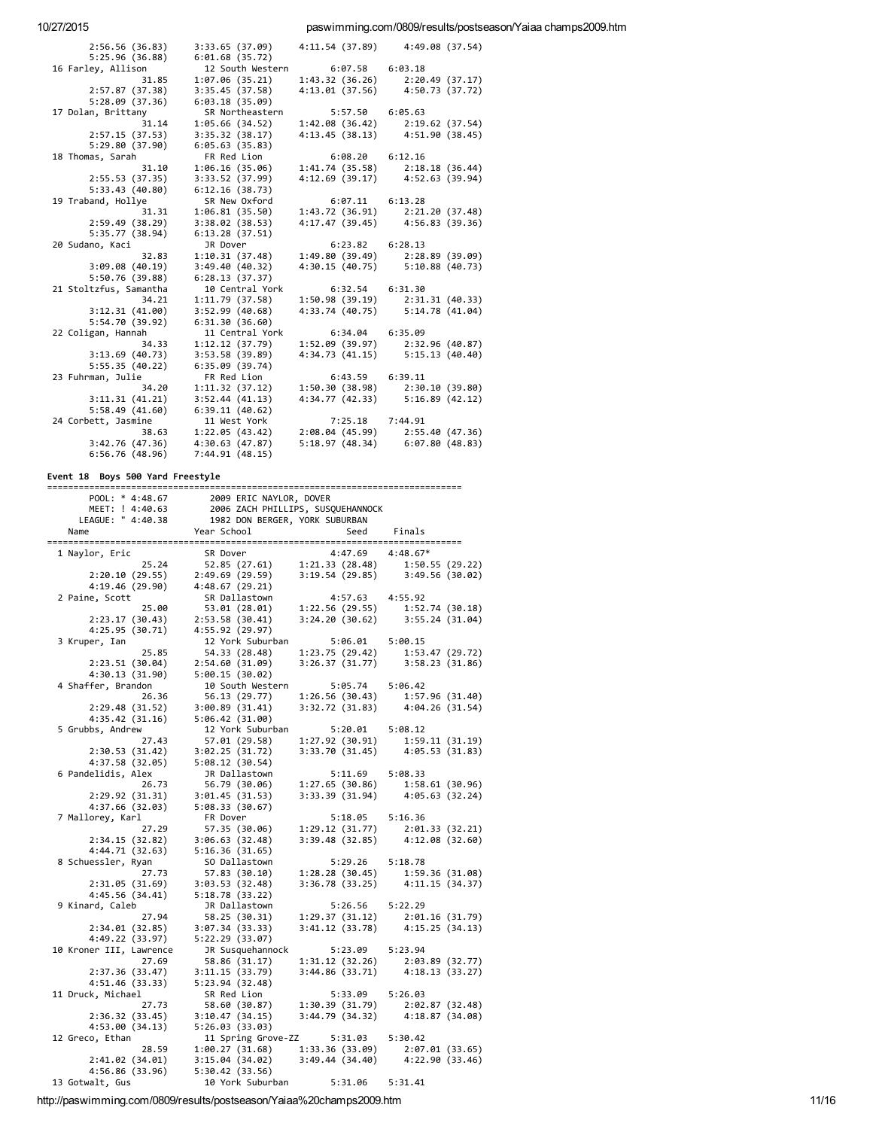#### paswimming.com/0809/results/postseason/Yaiaa champs2009.htm

| 2:56.56(36.83)         | 3:33.65 (37.09)  |                     | 4:11.54 (37.89) 4:49.08 (37.54)   |
|------------------------|------------------|---------------------|-----------------------------------|
| 5:25.96(36.88)         | 6:01.68(35.72)   |                     |                                   |
| 16 Farley, Allison     | 12 South Western | $6:07.58$ $6:03.18$ |                                   |
| 31.85                  | 1:07.06(35.21)   |                     | 1:43.32 (36.26) 2:20.49 (37.17)   |
| 2:57.87(37.38)         | 3:35.45 (37.58)  | 4:13.01(37.56)      | 4:50.73 (37.72)                   |
| 5:28.09(37.36)         | 6:03.18(35.09)   |                     |                                   |
| 17 Dolan, Brittany     | SR Northeastern  | 5:57.50 6:05.63     |                                   |
| 31.14                  | 1:05.66 (34.52)  |                     | 1:42.08 (36.42) 2:19.62 (37.54)   |
| 2:57.15(37.53)         | 3:35.32(38.17)   |                     | 4:13.45 (38.13) 4:51.90 (38.45)   |
| 5:29.80 (37.90)        | 6:05.63(35.83)   |                     |                                   |
| 18 Thomas, Sarah       | FR Red Lion      | $6:08.20$ $6:12.16$ |                                   |
| 31.10                  | 1:06.16(35.06)   | 1:41.74 (35.58)     | 2:18.18(36.44)                    |
| 2:55.53(37.35)         | 3:33.52 (37.99)  |                     | 4:12.69 (39.17) 4:52.63 (39.94)   |
| 5:33.43(40.80)         | 6:12.16(38.73)   |                     |                                   |
| 19 Traband, Hollye     | SR New Oxford    | $6:07.11$ $6:13.28$ |                                   |
| 31.31                  | 1:06.81(35.50)   | 1:43.72 (36.91)     | 2:21.20 (37.48)                   |
| 2:59.49 (38.29)        | 3:38.02(38.53)   |                     | 4:17.47 (39.45) 4:56.83 (39.36)   |
| 5:35.77 (38.94)        | 6:13.28(37.51)   |                     |                                   |
| 20 Sudano, Kaci        | JR Dover         | $6:23.82$ $6:28.13$ |                                   |
| 32.83                  | 1:10.31(37.48)   |                     | $1:49.80(39.49)$ $2:28.89(39.09)$ |
| 3:09.08(40.19)         | 3:49.40 (40.32)  |                     | 4:30.15 (40.75) 5:10.88 (40.73)   |
| 5:50.76(39.88)         | 6:28.13(37.37)   |                     |                                   |
| 21 Stoltzfus, Samantha | 10 Central York  | $6:32.54$ $6:31.30$ |                                   |
| 34.21                  | 1:11.79 (37.58)  | 1:50.98(39.19)      | 2:31.31(40.33)                    |
| 3:12.31(41.00)         | 3:52.99(40.68)   | 4:33.74 (40.75)     | 5:14.78(41.04)                    |
| 5:54.70 (39.92)        | 6:31.30(36.60)   |                     |                                   |
| 22 Coligan, Hannah     | 11 Central York  | $6:34.04$ $6:35.09$ |                                   |
| 34.33                  | 1:12.12(37.79)   |                     | 1:52.09 (39.97) 2:32.96 (40.87)   |
| 3:13.69(40.73)         | 3:53.58 (39.89)  |                     | 4:34.73 (41.15) 5:15.13 (40.40)   |
| 5:55.35(40.22)         | 6:35.09(39.74)   |                     |                                   |
| 23 Fuhrman, Julie      | FR Red Lion      | $6:43.59$ $6:39.11$ |                                   |
| 34.20                  | 1:11.32(37.12)   | 1:50.30(38.98)      | 2:30.10 (39.80)                   |
| 3:11.31(41.21)         | 3:52.44(41.13)   | 4:34.77(42.33)      | 5:16.89(42.12)                    |
| 5:58.49(41.60)         | 6:39.11(40.62)   |                     |                                   |
| 24 Corbett, Jasmine    | 11 West York     | 7:25.18 7:44.91     |                                   |
| 38.63                  | 1:22.05(43.42)   |                     | 2:08.04 (45.99) 2:55.40 (47.36)   |
| 3:42.76(47.36)         | 4:30.63(47.87)   |                     | 5:18.97 (48.34) 6:07.80 (48.83)   |
| 6:56.76(48.96)         | 7:44.91 (48.15)  |                     |                                   |
|                        |                  |                     |                                   |

#### Event 18 Boys 500 Yard Freestyle

| =========               |                                                                                                                                                        |                      |                                                                                                                 |  |  |
|-------------------------|--------------------------------------------------------------------------------------------------------------------------------------------------------|----------------------|-----------------------------------------------------------------------------------------------------------------|--|--|
| POOL: * 4:48.67         | 2009 ERIC NAYLOR, DOVER                                                                                                                                |                      |                                                                                                                 |  |  |
| MEET: ! 4:40.63         | 2006 ZACH PHILLIPS, SUSQUEHANNOCK                                                                                                                      |                      |                                                                                                                 |  |  |
| LEAGUE: " 4:40.38       | 1982 DON BERGER, YORK SUBURBAN                                                                                                                         |                      |                                                                                                                 |  |  |
| Name                    | Year School                                                                                                                                            | Seed                 | Finals                                                                                                          |  |  |
| 1 Naylor, Eric          | SR Dover                                                                                                                                               | $4:47.69$ $4:48.67*$ |                                                                                                                 |  |  |
| 25.24                   |                                                                                                                                                        |                      |                                                                                                                 |  |  |
| 2:20.10(29.55)          | $\begin{array}{cccc} 52.85 & (27.61) & 1:21.33 & (28.48) & 1:50.55 & (29.22) \\ 2:49.69 & (29.59) & 3:19.54 & (29.85) & 3:49.56 & (30.02) \end{array}$ |                      |                                                                                                                 |  |  |
| 4:19.46 (29.90)         | 4:48.67(29.21)                                                                                                                                         |                      |                                                                                                                 |  |  |
|                         |                                                                                                                                                        |                      |                                                                                                                 |  |  |
| 2 Paine, Scott          | SR Dallastown                                                                                                                                          | $4:57.63$ $4:55.92$  |                                                                                                                 |  |  |
| 25.00                   | 53.01 (28.01)                                                                                                                                          | 1:22.56 (29.55)      | 1:52.74 (30.18)                                                                                                 |  |  |
| 2:23.17 (30.43)         | 2:53.58(30.41)                                                                                                                                         |                      | 3:24.20 (30.62) 3:55.24 (31.04)                                                                                 |  |  |
| 4:25.95 (30.71)         | 4:55.92 (29.97)                                                                                                                                        |                      |                                                                                                                 |  |  |
| 3 Kruper, Ian           | 12 York Suburban                                                                                                                                       | 5:06.01 5:00.15      |                                                                                                                 |  |  |
| 25.85                   | 54.33 (28.48)                                                                                                                                          | 1:23.75(29.42)       | 1:53.47 (29.72)                                                                                                 |  |  |
| 2:23.51(30.04)          | 2:54.60(31.09)                                                                                                                                         |                      | $3:26.37(31.77)$ $3:58.23(31.86)$                                                                               |  |  |
| 4:30.13 (31.90)         | 5:00.15(30.02)                                                                                                                                         |                      |                                                                                                                 |  |  |
| 4 Shaffer, Brandon      | 10 South Western                                                                                                                                       | 5:05.74              | 5:06.42                                                                                                         |  |  |
| 26.36                   | 56.13 (29.77)                                                                                                                                          | 1:26.56 (30.43)      | 1:57.96 (31.40)                                                                                                 |  |  |
| 2:29.48(31.52)          | 3:00.89(31.41)                                                                                                                                         |                      | 3:32.72 (31.83) 4:04.26 (31.54)                                                                                 |  |  |
| 4:35.42 (31.16)         | 5:06.42(31.00)                                                                                                                                         |                      |                                                                                                                 |  |  |
| 5 Grubbs, Andrew        | 12 York Suburban                                                                                                                                       | 5:20.01              | 5:08.12                                                                                                         |  |  |
| 27.43                   | 57.01 (29.58)                                                                                                                                          |                      | 1:27.92 (30.91) 1:59.11 (31.19)                                                                                 |  |  |
| 2:30.53(31.42)          | 3:02.25(31.72)                                                                                                                                         |                      | $3:33.70$ $(31.45)$ $4:05.53$ $(31.83)$                                                                         |  |  |
| 4:37.58 (32.05)         | 5:08.12(30.54)                                                                                                                                         |                      |                                                                                                                 |  |  |
| 6 Pandelidis, Alex      | JR Dallastown                                                                                                                                          | 5:11.69 5:08.33      |                                                                                                                 |  |  |
| 26.73                   | 56.79 (30.06)                                                                                                                                          |                      | 1:27.65 (30.86) 1:58.61 (30.96)<br>3:33.39 (31.94) 4:05.63 (32.24)                                              |  |  |
| 2:29.92(31.31)          | 3:01.45(31.53)                                                                                                                                         |                      | 4:05.63 (32.24)                                                                                                 |  |  |
| 4:37.66 (32.03)         | 5:08.33(30.67)                                                                                                                                         |                      |                                                                                                                 |  |  |
| 7 Mallorey, Karl        | FR Dover                                                                                                                                               | 5:18.05              | 5:16.36                                                                                                         |  |  |
| 27.29                   | 57.35 (30.06)                                                                                                                                          | 1:29.12 (31.77)      | 2:01.33 (32.21)                                                                                                 |  |  |
| 2:34.15(32.82)          | 3:06.63(32.48)                                                                                                                                         |                      | $3:39.48(32.85)$ $4:12.08(32.60)$                                                                               |  |  |
| 4:44.71(32.63)          | 5:16.36(31.65)                                                                                                                                         |                      |                                                                                                                 |  |  |
| 8 Schuessler, Ryan      | SO Dallastown                                                                                                                                          | 5:29.26              | 5:18.78                                                                                                         |  |  |
| 27.73                   | 57.83 (30.10)                                                                                                                                          |                      | 1:28.28 (30.45) 1:59.36 (31.08)<br>3:36.78 (33.25) 4:11.15 (34.37)                                              |  |  |
| 2:31.05(31.69)          | 3:03.53(32.48)                                                                                                                                         |                      |                                                                                                                 |  |  |
| 4:45.56 (34.41)         | 5:18.78(33.22)                                                                                                                                         |                      |                                                                                                                 |  |  |
| 9 Kinard, Caleb         | JR Dallastown                                                                                                                                          | 5:26.56              | 5:22.29                                                                                                         |  |  |
| 27.94                   | 58.25 (30.31)                                                                                                                                          |                      | $\begin{array}{lll} 1:29.37 & (31.12) & 2:01.16 & (31.79) \\ 3:41.12 & (33.78) & 4:15.25 & (34.13) \end{array}$ |  |  |
| 2:34.01(32.85)          | 3:07.34(33.33)                                                                                                                                         |                      |                                                                                                                 |  |  |
| 4:49.22 (33.97)         | 5:22.29 (33.07)                                                                                                                                        |                      |                                                                                                                 |  |  |
| 10 Kroner III, Lawrence | JR Susquehannock                                                                                                                                       | 5:23.09              | 5:23.94                                                                                                         |  |  |
| 27.69                   | 58.86 (31.17)                                                                                                                                          |                      |                                                                                                                 |  |  |
| 2:37.36 (33.47)         | 3:11.15(33.79)                                                                                                                                         |                      | 1:31.12 (32.26) 2:03.89 (32.77)<br>3:44.86 (33.71) 4:18.13 (33.27)                                              |  |  |
| 4:51.46 (33.33)         | 5:23.94(32.48)                                                                                                                                         |                      |                                                                                                                 |  |  |
| 11 Druck, Michael       | SR Red Lion                                                                                                                                            | 5:33.09              | 5:26.03                                                                                                         |  |  |
| 27.73                   | 58.60 (30.87)                                                                                                                                          | 1:30.39 (31.79)      | 2:02.87 (32.48)                                                                                                 |  |  |
| 2:36.32(33.45)          | 3:10.47(34.15)                                                                                                                                         |                      | 3:44.79 (34.32) 4:18.87 (34.08)                                                                                 |  |  |
| 4:53.00 (34.13)         | 5:26.03(33.03)                                                                                                                                         |                      |                                                                                                                 |  |  |
| 12 Greco, Ethan         | 11 Spring Grove-ZZ                                                                                                                                     | 5:31.03              | 5:30.42                                                                                                         |  |  |
| 28.59                   | 1:00.27(31.68)                                                                                                                                         |                      |                                                                                                                 |  |  |
| 2:41.02(34.01)          | 3:15.04(34.02)                                                                                                                                         |                      | 1:33.36 (33.09) 2:07.01 (33.65)<br>3:49.44 (34.40) 4:22.90 (33.46)                                              |  |  |
| 4:56.86 (33.96)         | 5:30.42(33.56)                                                                                                                                         |                      |                                                                                                                 |  |  |
| 13 Gotwalt, Gus         | 10 York Suburban                                                                                                                                       | 5:31.06              | 5:31.41                                                                                                         |  |  |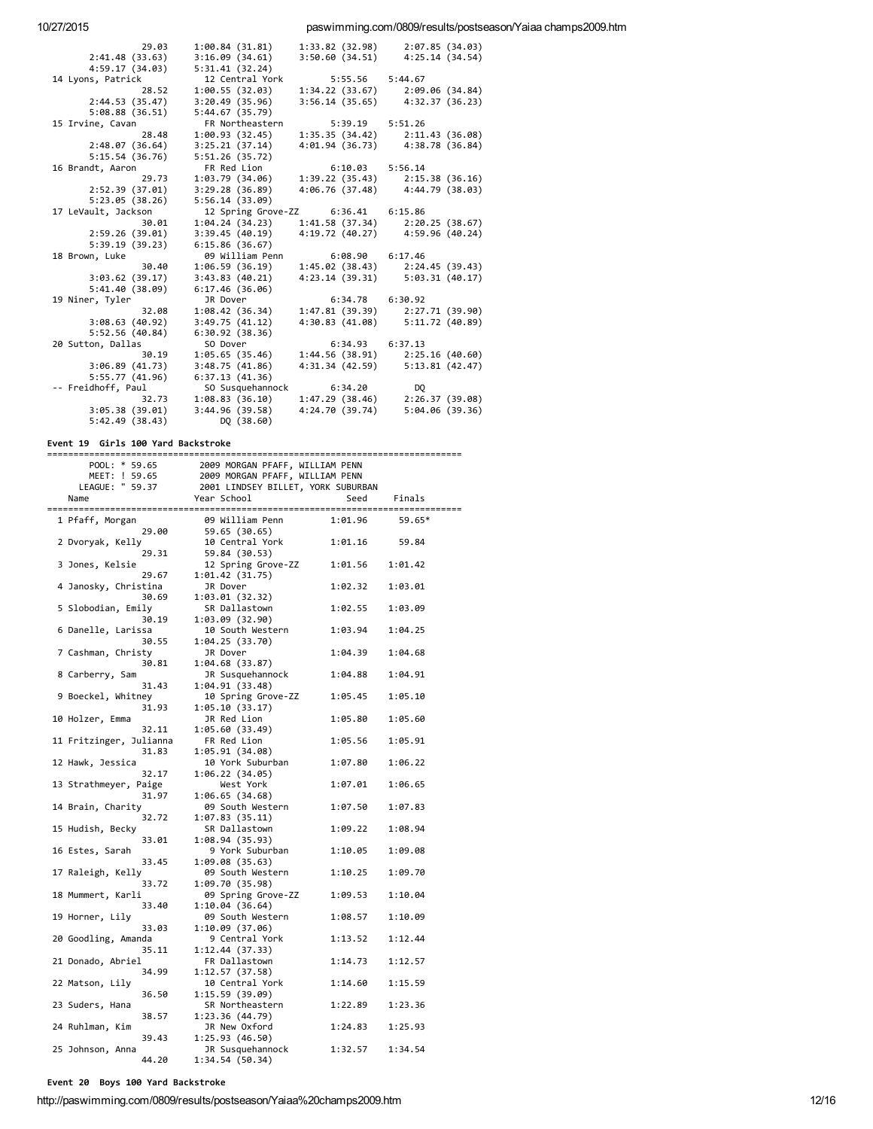#### paswimming.com/0809/results/postseason/Yaiaa champs2009.htm

| 29.03                   | 1:00.84(31.81)           | 1:33.82 (32.98)                    | 2:07.85(34.03)                                  |
|-------------------------|--------------------------|------------------------------------|-------------------------------------------------|
| 2:41.48(33.63)          | 3:16.09(34.61)           | 3:50.60(34.51)                     | 4:25.14(34.54)                                  |
| 4:59.17 (34.03)         | 5:31.41(32.24)           |                                    |                                                 |
| 14 Lyons, Patrick       | 12 Central York          | 5:55.56 5:44.67                    |                                                 |
| 28.52                   | 1:00.55(32.03)           | 1:34.22 (33.67)                    | 2:09.06(34.84)                                  |
| 2:44.53 (35.47)         | 3:20.49(35.96)           |                                    | $3:56.14$ (35.65) $4:32.37$ (36.23)             |
| 5:08.88(36.51)          | 5:44.67(35.79)           |                                    |                                                 |
| 15 Irvine, Cavan        | FR Northeastern          | 5:39.19 5:51.26                    |                                                 |
| 28.48                   | 1:00.93(32.45)           | 1:35.35(34.42)                     | 2:11.43(36.08)                                  |
| 2:48.07(36.64)          | 3:25.21(37.14)           |                                    | 4:01.94 (36.73) 4:38.78 (36.84)                 |
| 5:15.54(36.76)          | 5:51.26(35.72)           |                                    |                                                 |
| 16 Brandt, Aaron        | FR Red Lion              | $6:10.03$ $5:56.14$                |                                                 |
| 29.73                   |                          |                                    | 1:03.79 (34.06) 1:39.22 (35.43) 2:15.38 (36.16) |
| 2:52.39 (37.01)         | 3:29.28(36.89)           |                                    | 4:06.76 (37.48) 4:44.79 (38.03)                 |
| 5:23.05(38.26)          | 5:56.14(33.09)           |                                    |                                                 |
| 17 LeVault, Jackson     |                          | 12 Spring Grove-ZZ 6:36.41 6:15.86 |                                                 |
| 30.01                   | 1:04.24(34.23)           | 1:41.58 (37.34)                    | 2:20.25(38.67)                                  |
| 2:59.26(39.01)          | 3:39.45(40.19)           |                                    | 4:19.72 (40.27) 4:59.96 (40.24)                 |
| 5:39.19(39.23)          | 6:15.86(36.67)           |                                    |                                                 |
|                         | 09 William Penn          | $6:08.90$ $6:17.46$                |                                                 |
| 18 Brown, Luke<br>30.40 |                          |                                    |                                                 |
|                         | 1:06.59(36.19)           | 1:45.02 (38.43)                    | 2:24.45(39.43)                                  |
| 3:03.62(39.17)          | 3:43.83(40.21)           | 4:23.14 (39.31)                    | 5:03.31(40.17)                                  |
| 5:41.40(38.09)          | 6:17.46(36.06)           |                                    |                                                 |
| 19 Niner, Tyler         | JR Dover                 | 6:34.78 6:30.92                    |                                                 |
| 32.08                   | 1:08.42(36.34)           | 1:47.81 (39.39)                    | 2:27.71 (39.90)                                 |
| 3:08.63(40.92)          | 3:49.75(41.12)           |                                    | 4:30.83 (41.08) 5:11.72 (40.89)                 |
| 5:52.56(40.84)          | 6:30.92(38.36)           |                                    |                                                 |
| 20 Sutton, Dallas       | SO Dover                 | 6:34.93 6:37.13                    |                                                 |
| 30.19                   | 1:05.65(35.46)           | 1:44.56 (38.91)                    | 2:25.16(40.60)                                  |
| 3:06.89(41.73)          | 3:48.75(41.86)           | 4:31.34 (42.59)                    | 5:13.81(42.47)                                  |
| 5:55.77(41.96)          | 6:37.13(41.36)           |                                    |                                                 |
| -- Freidhoff, Paul      | SO Susquehannock 6:34.20 |                                    | DQ                                              |
|                         | 32.73 1:08.83 (36.10)    |                                    | $1:47.29(38.46)$ $2:26.37(39.08)$               |
| 3:05.38(39.01)          | 3:44.96(39.58)           | 4:24.70 (39.74)                    | 5:04.06(39.36)                                  |
| 5:42.49 (38.43)         | DQ (38.60)               |                                    |                                                 |

#### Event 19 Girls 100 Yard Backstroke

|  | POOL: * 59.65                    | 2009 MORGAN PFAFF, WILLIAM PENN      |         |         |  |
|--|----------------------------------|--------------------------------------|---------|---------|--|
|  | MEET: ! 59.65                    | 2009 MORGAN PFAFF, WILLIAM PENN      |         |         |  |
|  | LEAGUE: " 59.37                  | 2001 LINDSEY BILLET, YORK SUBURBAN   |         |         |  |
|  | Name                             | Year School                          | Seed    | Finals  |  |
|  | 1 Pfaff, Morgan<br>29.00         | 09 William Penn<br>59.65 (30.65)     | 1:01.96 | 59.65*  |  |
|  | 2 Dvoryak, Kelly<br>29.31        | 10 Central York<br>59.84 (30.53)     | 1:01.16 | 59.84   |  |
|  | 3 Jones, Kelsie<br>29.67         | 12 Spring Grove-ZZ<br>1:01.42(31.75) | 1:01.56 | 1:01.42 |  |
|  | 4 Janosky, Christina<br>30.69    | JR Dover<br>1:03.01 (32.32)          | 1:02.32 | 1:03.01 |  |
|  | 5 Slobodian, Emily<br>30.19      | SR Dallastown<br>1:03.09 (32.90)     | 1:02.55 | 1:03.09 |  |
|  | 6 Danelle, Larissa<br>30.55      | 10 South Western<br>1:04.25 (33.70)  | 1:03.94 | 1:04.25 |  |
|  | 7 Cashman, Christy<br>30.81      | JR Dover<br>1:04.68(33.87)           | 1:04.39 | 1:04.68 |  |
|  | 8 Carberry, Sam<br>31.43         | JR Susquehannock<br>1:04.91(33.48)   | 1:04.88 | 1:04.91 |  |
|  | 9 Boeckel, Whitney<br>31.93      | 10 Spring Grove-ZZ<br>1:05.10(33.17) | 1:05.45 | 1:05.10 |  |
|  | 10 Holzer, Emma<br>32.11         | JR Red Lion<br>1:05.60(33.49)        | 1:05.80 | 1:05.60 |  |
|  | 11 Fritzinger, Julianna<br>31.83 | FR Red Lion<br>1:05.91 (34.08)       | 1:05.56 | 1:05.91 |  |
|  | 12 Hawk, Jessica<br>32.17        | 10 York Suburban<br>1:06.22(34.05)   | 1:07.80 | 1:06.22 |  |
|  | 13 Strathmeyer, Paige<br>31.97   | West York<br>1:06.65(34.68)          | 1:07.01 | 1:06.65 |  |
|  | 14 Brain, Charity<br>32.72       | 09 South Western<br>1:07.83(35.11)   | 1:07.50 | 1:07.83 |  |
|  | 15 Hudish, Becky<br>33.01        | SR Dallastown<br>1:08.94 (35.93)     | 1:09.22 | 1:08.94 |  |
|  | 16 Estes, Sarah<br>33.45         | 9 York Suburban<br>1:09.08(35.63)    | 1:10.05 | 1:09.08 |  |
|  | 17 Raleigh, Kelly<br>33.72       | 09 South Western<br>1:09.70 (35.98)  | 1:10.25 | 1:09.70 |  |
|  | 18 Mummert, Karli<br>33.40       | 09 Spring Grove-ZZ<br>1:10.04(36.64) | 1:09.53 | 1:10.04 |  |
|  | 19 Horner, Lily<br>33.03         | 09 South Western<br>1:10.09 (37.06)  | 1:08.57 | 1:10.09 |  |
|  | 20 Goodling, Amanda<br>35.11     | 9 Central York<br>1:12.44 (37.33)    | 1:13.52 | 1:12.44 |  |
|  | 21 Donado, Abriel<br>34.99       | FR Dallastown<br>1:12.57 (37.58)     | 1:14.73 | 1:12.57 |  |
|  | 22 Matson, Lily<br>36.50         | 10 Central York<br>1:15.59 (39.09)   | 1:14.60 | 1:15.59 |  |
|  | 23 Suders, Hana<br>38.57         | SR Northeastern<br>1:23.36 (44.79)   | 1:22.89 | 1:23.36 |  |
|  | 24 Ruhlman, Kim<br>39.43         | JR New Oxford<br>1:25.93 (46.50)     | 1:24.83 | 1:25.93 |  |
|  | 25 Johnson, Anna<br>44.20        | JR Susquehannock<br>1:34.54 (50.34)  | 1:32.57 | 1:34.54 |  |

Event 20 Boys 100 Yard Backstroke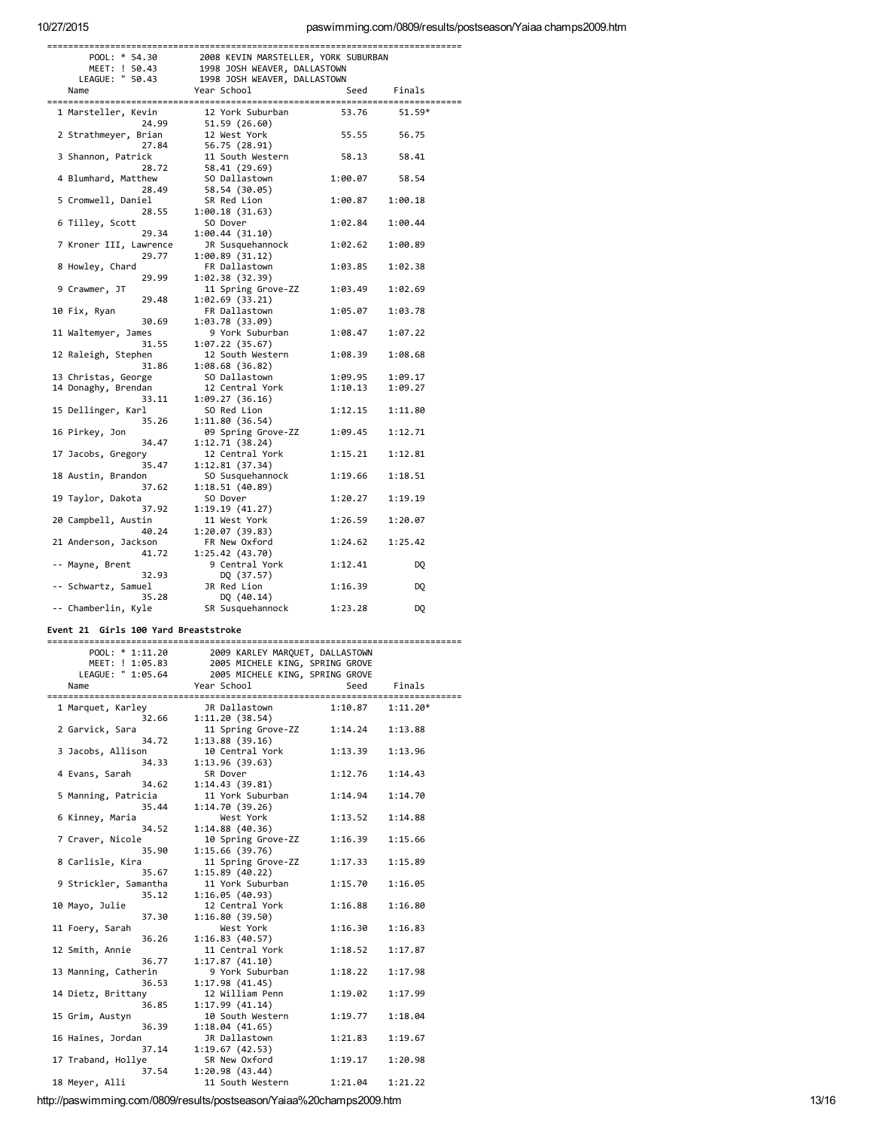# paswimming.com/0809/results/postseason/Yaiaa champs2009.htm

| 2008 KEVIN MARSTELLER, YORK SUBURBAN<br>POOL: * 54.30 |                              |         |         |  |  |
|-------------------------------------------------------|------------------------------|---------|---------|--|--|
| MEET: ! 50.43                                         | 1998 JOSH WEAVER, DALLASTOWN |         |         |  |  |
| LEAGUE: " 50.43                                       | 1998 JOSH WEAVER, DALLASTOWN |         |         |  |  |
| Name                                                  | Year School                  | Seed    | Finals  |  |  |
|                                                       |                              |         |         |  |  |
| 1 Marsteller, Kevin                                   | 12 York Suburban             | 53.76   | 51.59*  |  |  |
| 24.99                                                 | 51.59 (26.60)                |         |         |  |  |
| 2 Strathmeyer, Brian                                  | 12 West York                 | 55.55   | 56.75   |  |  |
| 27.84                                                 | 56.75 (28.91)                |         |         |  |  |
| 3 Shannon, Patrick                                    | 11 South Western             | 58.13   | 58.41   |  |  |
|                                                       |                              |         |         |  |  |
| 28.72                                                 | 58.41 (29.69)                |         |         |  |  |
| 4 Blumhard, Matthew                                   | SO Dallastown                | 1:00.07 | 58.54   |  |  |
| 28.49                                                 | 58.54 (30.05)                |         |         |  |  |
| 5 Cromwell, Daniel                                    | SR Red Lion                  | 1:00.87 | 1:00.18 |  |  |
| 28.55                                                 | 1:00.18(31.63)               |         |         |  |  |
| 6 Tilley, Scott                                       | SO Dover                     | 1:02.84 | 1:00.44 |  |  |
| 29.34                                                 | 1:00.44 (31.10)              |         |         |  |  |
| 7 Kroner III, Lawrence                                | JR Susquehannock             | 1:02.62 | 1:00.89 |  |  |
| 29.77                                                 | 1:00.89(31.12)               |         |         |  |  |
| 8 Howley, Chard                                       | FR Dallastown                | 1:03.85 | 1:02.38 |  |  |
| 29.99                                                 | 1:02.38 (32.39)              |         |         |  |  |
| 9 Crawmer, JT                                         | 11 Spring Grove-ZZ           | 1:03.49 | 1:02.69 |  |  |
| 29.48                                                 | 1:02.69 (33.21)              |         |         |  |  |
| 10 Fix, Ryan                                          | FR Dallastown                | 1:05.07 | 1:03.78 |  |  |
| 30.69                                                 | 1:03.78 (33.09)              |         |         |  |  |
| 11 Waltemyer, James                                   | 9 York Suburban              | 1:08.47 | 1:07.22 |  |  |
| 31.55                                                 | 1:07.22 (35.67)              |         |         |  |  |
| 12 Raleigh, Stephen                                   | 12 South Western             | 1:08.39 | 1:08.68 |  |  |
| 31.86                                                 | 1:08.68 (36.82)              |         |         |  |  |
| 13 Christas, George                                   | SO Dallastown                | 1:09.95 | 1:09.17 |  |  |
|                                                       | 12 Central York              |         |         |  |  |
| 14 Donaghy, Brendan                                   |                              | 1:10.13 | 1:09.27 |  |  |
| 33.11                                                 | 1:09.27 (36.16)              |         |         |  |  |
| 15 Dellinger, Karl                                    | SO Red Lion                  | 1:12.15 | 1:11.80 |  |  |
| 35.26                                                 | 1:11.80 (36.54)              |         |         |  |  |
| 16 Pirkey, Jon                                        | 09 Spring Grove-ZZ           | 1:09.45 | 1:12.71 |  |  |
| 34.47                                                 | 1:12.71 (38.24)              |         |         |  |  |
| 17 Jacobs, Gregory                                    | 12 Central York              | 1:15.21 | 1:12.81 |  |  |
| 35.47                                                 | 1:12.81 (37.34)              |         |         |  |  |
| 18 Austin, Brandon                                    | SO Susquehannock             | 1:19.66 | 1:18.51 |  |  |
| 37.62                                                 | 1:18.51 (40.89)              |         |         |  |  |
| 19 Taylor, Dakota                                     | SO Dover                     | 1:20.27 | 1:19.19 |  |  |
| 37.92                                                 | 1:19.19 (41.27)              |         |         |  |  |
| 20 Campbell, Austin                                   | 11 West York                 | 1:26.59 | 1:20.07 |  |  |
| 40.24                                                 | 1:20.07 (39.83)              |         |         |  |  |
| 21 Anderson, Jackson                                  | FR New Oxford                | 1:24.62 | 1:25.42 |  |  |
| 41.72                                                 | 1:25.42 (43.70)              |         |         |  |  |
| -- Mayne, Brent                                       | 9 Central York               | 1:12.41 | DQ      |  |  |
| 32.93                                                 | DQ (37.57)                   |         |         |  |  |
| -- Schwartz, Samuel                                   | JR Red Lion                  | 1:16.39 | DQ      |  |  |
| 35.28                                                 | DQ (40.14)                   |         |         |  |  |
| -- Chamberlin, Kyle                                   | SR Susquehannock             | 1:23.28 | DO.     |  |  |
|                                                       |                              |         |         |  |  |

# Event 21 Girls 100 Yard Breaststroke

|  | POOL: * 1:11.20       | 2009 KARLEY MARQUET, DALLASTOWN |         |            |  |
|--|-----------------------|---------------------------------|---------|------------|--|
|  | MEET: ! 1:05.83       | 2005 MICHELE KING, SPRING GROVE |         |            |  |
|  | LEAGUE: " 1:05.64     | 2005 MICHELE KING, SPRING GROVE |         |            |  |
|  | Name                  | Year School                     | Seed    | Finals     |  |
|  |                       |                                 |         |            |  |
|  | 1 Marquet, Karley     | JR Dallastown                   | 1:10.87 | $1:11.20*$ |  |
|  | 32.66                 | 1:11.20(38.54)                  |         |            |  |
|  | 2 Garvick, Sara       | 11 Spring Grove-ZZ              | 1:14.24 | 1:13.88    |  |
|  | 34.72                 | 1:13.88(39.16)                  |         |            |  |
|  | 3 Jacobs, Allison     | 10 Central York                 | 1:13.39 | 1:13.96    |  |
|  | 34.33                 | 1:13.96(39.63)                  |         |            |  |
|  | 4 Evans, Sarah        | SR Dover                        | 1:12.76 | 1:14.43    |  |
|  | 34.62                 | 1:14.43(39.81)                  |         |            |  |
|  | 5 Manning, Patricia   | 11 York Suburban                | 1:14.94 | 1:14.70    |  |
|  | 35.44                 | 1:14.70(39.26)                  |         |            |  |
|  | 6 Kinney, Maria       | West York                       | 1:13.52 | 1:14.88    |  |
|  | 34.52                 | 1:14.88(40.36)                  |         |            |  |
|  | 7 Craver, Nicole      | 10 Spring Grove-ZZ              | 1:16.39 | 1:15.66    |  |
|  | 35.90                 | 1:15.66(39.76)                  |         |            |  |
|  | 8 Carlisle, Kira      | 11 Spring Grove-ZZ              | 1:17.33 | 1:15.89    |  |
|  | 35.67                 | 1:15.89(40.22)                  |         |            |  |
|  | 9 Strickler, Samantha | 11 York Suburban                | 1:15.70 | 1:16.05    |  |
|  | 35.12                 | 1:16.05(40.93)                  |         |            |  |
|  | 10 Mayo, Julie        | 12 Central York                 | 1:16.88 | 1:16.80    |  |
|  | 37.30                 | 1:16.80(39.50)                  |         |            |  |
|  | 11 Foery, Sarah       | West York                       | 1:16.30 | 1:16.83    |  |
|  | 36.26                 | 1:16.83(40.57)                  |         |            |  |
|  | 12 Smith, Annie       | 11 Central York                 | 1:18.52 | 1:17.87    |  |
|  | 36.77                 | 1:17.87(41.10)                  |         |            |  |
|  | 13 Manning, Catherin  | 9 York Suburban                 | 1:18.22 | 1:17.98    |  |
|  | 36.53                 | 1:17.98(41.45)                  |         |            |  |
|  | 14 Dietz, Brittany    | 12 William Penn                 | 1:19.02 | 1:17.99    |  |
|  | 36.85                 | 1:17.99(41.14)                  |         |            |  |
|  | 15 Grim, Austyn       | 10 South Western                | 1:19.77 | 1:18.04    |  |
|  | 36.39                 | 1:18.04(41.65)                  |         |            |  |
|  | 16 Haines, Jordan     | JR Dallastown                   | 1:21.83 | 1:19.67    |  |
|  | 37.14                 | 1:19.67(42.53)                  |         |            |  |
|  | 17 Traband, Hollye    | SR New Oxford                   | 1:19.17 | 1:20.98    |  |
|  | 37.54                 | 1:20.98(43.44)                  |         |            |  |
|  | 18 Meyer, Alli        | 11 South Western                | 1:21.04 | 1:21.22    |  |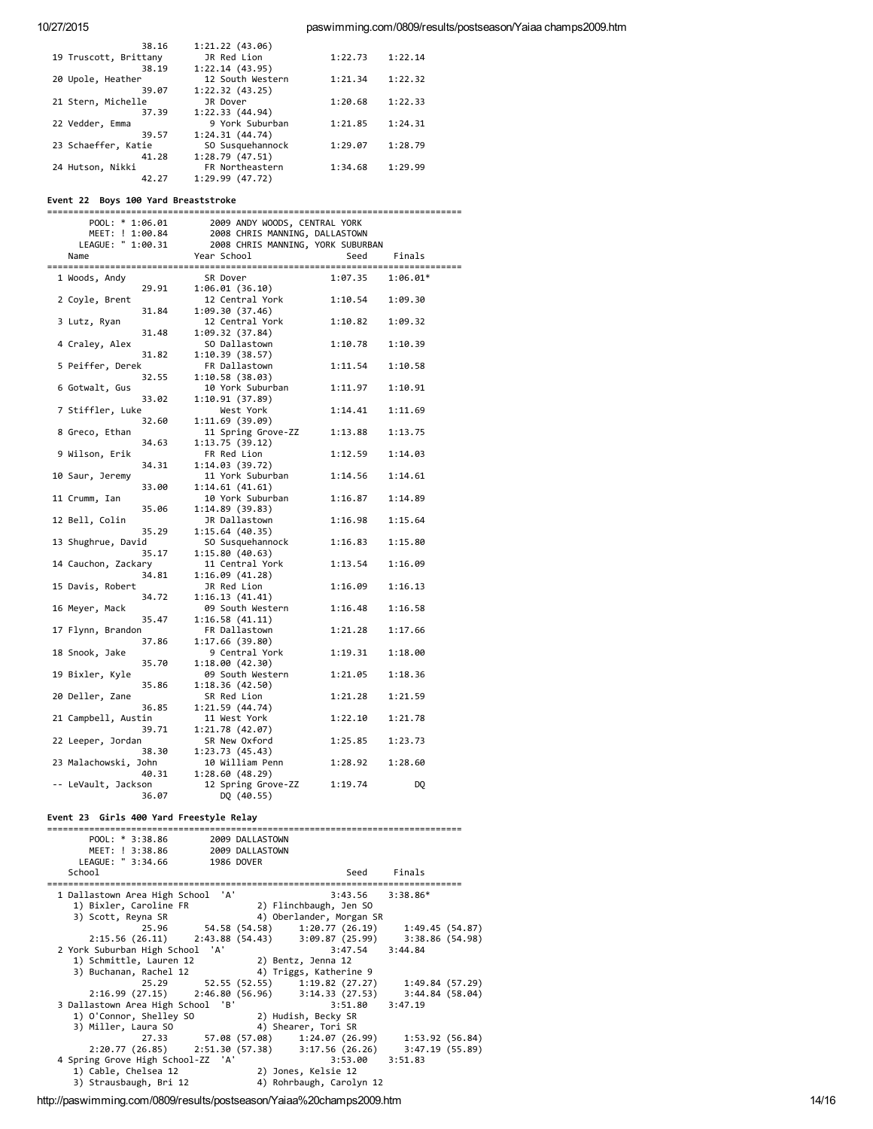| 38.16                 | 1:21.22(43.06)   |         |         |
|-----------------------|------------------|---------|---------|
| 19 Truscott, Brittany | JR Red Lion      | 1:22.73 | 1:22.14 |
| 38.19                 | 1:22.14(43.95)   |         |         |
| 20 Upole, Heather     | 12 South Western | 1:21.34 | 1:22.32 |
| 39.07                 | 1:22.32(43.25)   |         |         |
| 21 Stern, Michelle    | JR Dover         | 1:20.68 | 1:22.33 |
| 37.39                 | 1:22.33(44.94)   |         |         |
| 22 Vedder, Emma       | 9 York Suburban  | 1:21.85 | 1:24.31 |
| 39.57                 | 1:24.31(44.74)   |         |         |
| 23 Schaeffer, Katie   | SO Susquehannock | 1:29.07 | 1:28.79 |
| 41.28                 | 1:28.79(47.51)   |         |         |
| 24 Hutson, Nikki      | FR Northeastern  | 1:34.68 | 1:29.99 |
| 42.27                 | 1:29.99(47.72)   |         |         |
|                       |                  |         |         |

# Event 22 Boys 100 Yard Breaststroke

| POOL: * 1:06.01<br>MEET: ! 1:00.84<br>LEAGUE: " 1:00.31<br>Name<br>=================== | 2009 ANDY WOODS, CENTRAL YORK<br>2008 CHRIS MANNING, DALLASTOWN<br>2008 CHRIS MANNING, YORK SUBURBAN<br>Year School | Seed    | Finals     |
|----------------------------------------------------------------------------------------|---------------------------------------------------------------------------------------------------------------------|---------|------------|
| 1 Woods, Andy<br>29.91                                                                 | SR Dover<br>1:06.01 (36.10)                                                                                         | 1:07.35 | $1:06.01*$ |
| 2 Coyle, Brent<br>31.84                                                                | 12 Central York<br>1:09.30 (37.46)                                                                                  | 1:10.54 | 1:09.30    |
| 3 Lutz, Ryan<br>31.48                                                                  | 12 Central York<br>1:09.32(37.84)                                                                                   | 1:10.82 | 1:09.32    |
| 4 Craley, Alex<br>31.82                                                                | SO Dallastown<br>1:10.39(38.57)                                                                                     | 1:10.78 | 1:10.39    |
| 5 Peiffer, Derek<br>32.55                                                              | FR Dallastown<br>1:10.58(38.03)                                                                                     | 1:11.54 | 1:10.58    |
| 6 Gotwalt, Gus<br>33.02                                                                | 10 York Suburban<br>1:10.91(37.89)                                                                                  | 1:11.97 | 1:10.91    |
| 7 Stiffler, Luke<br>32.60                                                              | West York<br>1:11.69 (39.09)                                                                                        | 1:14.41 | 1:11.69    |
| 8 Greco, Ethan<br>34.63                                                                | 11 Spring Grove-ZZ<br>1:13.75(39.12)                                                                                | 1:13.88 | 1:13.75    |
| 9 Wilson, Erik<br>34.31                                                                | FR Red Lion<br>1:14.03(39.72)                                                                                       | 1:12.59 | 1:14.03    |
| 10 Saur, Jeremy<br>33.00                                                               | 11 York Suburban<br>1:14.61 (41.61)                                                                                 | 1:14.56 | 1:14.61    |
| 11 Crumm, Ian<br>35.06                                                                 | 10 York Suburban<br>1:14.89(39.83)                                                                                  | 1:16.87 | 1:14.89    |
| 12 Bell, Colin<br>35.29                                                                | JR Dallastown<br>1:15.64(40.35)                                                                                     | 1:16.98 | 1:15.64    |
| 13 Shughrue, David<br>35.17                                                            | SO Susquehannock<br>1:15.80(40.63)                                                                                  | 1:16.83 | 1:15.80    |
| 14 Cauchon, Zackary<br>34.81                                                           | 11 Central York<br>1:16.09(41.28)                                                                                   | 1:13.54 | 1:16.09    |
| 15 Davis, Robert<br>34.72                                                              | JR Red Lion<br>1:16.13(41.41)                                                                                       | 1:16.09 | 1:16.13    |
| 16 Meyer, Mack<br>35.47                                                                | 09 South Western<br>1:16.58(41.11)                                                                                  | 1:16.48 | 1:16.58    |
| 17 Flynn, Brandon<br>37.86                                                             | FR Dallastown<br>1:17.66(39.80)                                                                                     | 1:21.28 | 1:17.66    |
| 18 Snook, Jake<br>35.70                                                                | 9 Central York<br>1:18.00 (42.30)                                                                                   | 1:19.31 | 1:18.00    |
| 19 Bixler, Kyle<br>35.86                                                               | 09 South Western<br>1:18.36 (42.50)                                                                                 | 1:21.05 | 1:18.36    |
| 20 Deller, Zane<br>36.85                                                               | SR Red Lion<br>1:21.59(44.74)                                                                                       | 1:21.28 | 1:21.59    |
| 21 Campbell, Austin<br>39.71                                                           | 11 West York<br>1:21.78 (42.07)                                                                                     | 1:22.10 | 1:21.78    |
| 22 Leeper, Jordan<br>38.30                                                             | SR New Oxford<br>1:23.73(45.43)                                                                                     | 1:25.85 | 1:23.73    |
| 23 Malachowski, John<br>40.31                                                          | 10 William Penn<br>1:28.60(48.29)                                                                                   | 1:28.92 | 1:28.60    |
| -- LeVault, Jackson<br>36.07                                                           | 12 Spring Grove-ZZ<br>DQ (40.55)                                                                                    | 1:19.74 | DQ         |

# Event 23 Girls 400 Yard Freestyle Relay

| POOL: $* 3:38.86$                                               | 2009 DALLASTOWN                                     |                          |             |  |
|-----------------------------------------------------------------|-----------------------------------------------------|--------------------------|-------------|--|
| MEET: ! 3:38.86                                                 | 2009 DALLASTOWN                                     |                          |             |  |
| LEAGUE: " 3:34.66                                               | 1986 DOVER                                          |                          |             |  |
| School                                                          |                                                     |                          | Seed Finals |  |
|                                                                 |                                                     |                          |             |  |
| 1 Dallastown Area High School 'A'                               |                                                     | $3:43.56$ $3:38.86*$     |             |  |
| 1) Bixler, Caroline FR 2) Flinchbaugh, Jen SO                   |                                                     |                          |             |  |
| 3) Scott, Reyna SR                                              |                                                     | 4) Oberlander, Morgan SR |             |  |
|                                                                 | 25.96 54.58 (54.58) 1:20.77 (26.19) 1:49.45 (54.87) |                          |             |  |
| 2:15.56 (26.11) 2:43.88 (54.43) 3:09.87 (25.99) 3:38.86 (54.98) |                                                     |                          |             |  |
| 2 York Suburban High School 'A'                                 |                                                     | 3:47.54 3:44.84          |             |  |
| 1) Schmittle, Lauren 12 (2) Bentz, Jenna 12                     |                                                     |                          |             |  |
| 3) Buchanan, Rachel 12 (4) Triggs, Katherine 9                  |                                                     |                          |             |  |
|                                                                 | 25.29 52.55 (52.55) 1:19.82 (27.27) 1:49.84 (57.29) |                          |             |  |
| 2:16.99 (27.15) 2:46.80 (56.96) 3:14.33 (27.53) 3:44.84 (58.04) |                                                     |                          |             |  |
| 3 Dallastown Area High School 'B'                               |                                                     | 3:51.80                  | 3:47.19     |  |
| 1) O'Connor, Shelley SO 2) Hudish, Becky SR                     |                                                     |                          |             |  |
| 3) Miller, Laura SO (4) Shearer, Tori SR                        |                                                     |                          |             |  |
|                                                                 | 27.33 57.08 (57.08) 1:24.07 (26.99) 1:53.92 (56.84) |                          |             |  |
| 2:20.77 (26.85) 2:51.30 (57.38) 3:17.56 (26.26) 3:47.19 (55.89) |                                                     |                          |             |  |
| 4 Spring Grove High School-ZZ 'A'                               |                                                     | $3:53.00$ $3:51.83$      |             |  |
| 1) Cable, Chelsea 12                                            | 2) Jones, Kelsie 12                                 |                          |             |  |
|                                                                 |                                                     |                          |             |  |
| 3) Strausbaugh, Bri 12                                          |                                                     | 4) Rohrbaugh, Carolyn 12 |             |  |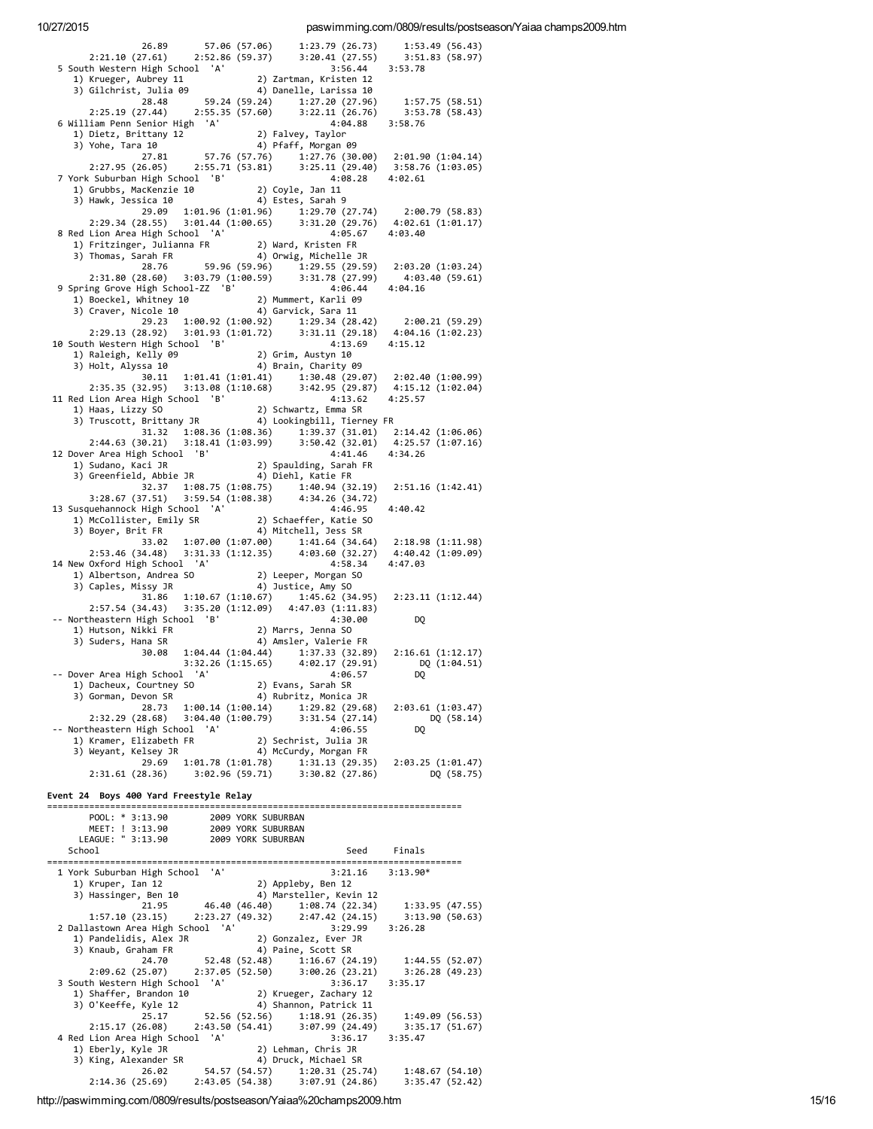| 26.89                                                                                                                                | 57.06 (57.06)                    |                                                                 |         |                                     |
|--------------------------------------------------------------------------------------------------------------------------------------|----------------------------------|-----------------------------------------------------------------|---------|-------------------------------------|
| 2:21.10 (27.61) 2:52.86 (59.37)                                                                                                      |                                  | 1:23.79 (20)<br>3:20.41 (27.55)                                 |         | 1:53.42<br>3:51.83 (58.97)          |
| 5 South Western High School 'A'                                                                                                      |                                  |                                                                 | 3:56.44 | 3:53.78                             |
| 1) Krueger, Aubrey 11 2) Zartman, Kristen 12<br>3) Gilchrist, Julia 09 4) Danelle, Larissa 10<br>28.48 59.24 (59.24) 1:27.20 (27.96) |                                  |                                                                 |         |                                     |
|                                                                                                                                      |                                  |                                                                 |         |                                     |
|                                                                                                                                      |                                  | 1:27.20 (27.96)                                                 |         | 1:57.75(58.51)                      |
| $2:25.19$ (27.44) $2:55.35$ (57.60) $3:22.11$ (26.76) $3:53.78$ (58.43)                                                              |                                  |                                                                 |         |                                     |
| 6 William Penn Senior High 'A'                                                                                                       |                                  |                                                                 | 4:04.88 | 3:58.76                             |
| 1) Dietz, Brittany 12                                                                                                                |                                  | 2) Falvey, Taylor                                               |         |                                     |
| 3) Yohe, Tara 10                                                                                                                     |                                  | 4) Pfaff, Morgan 09                                             |         |                                     |
| 27.81                                                                                                                                |                                  | 57.76 (57.76) $1:27.\overline{7}6$ (30.00) $2:01.90$ (1:04.14)  |         |                                     |
| $2:27.95(26.05)$ $2:55.71(53.81)$                                                                                                    |                                  |                                                                 |         | $3:25.11(29.40)$ $3:58.76(1:03.05)$ |
| 7 York Suburban High School 'B'                                                                                                      |                                  |                                                                 | 4:08.28 | 4:02.61                             |
| 1) Grubbs, MacKenzie 10                                                                                                              |                                  |                                                                 |         |                                     |
| 3) Hawk, Jessica 10                                                                                                                  |                                  | 2) Coyle, Jan 11<br>4) Estes, Sarah 9                           |         |                                     |
| 29.09                                                                                                                                |                                  | $1:01.96$ $(1:01.96)$ $1:29.70$ $(27.74)$ $2:00.79$ $(58.83)$   |         |                                     |
| 2:29.34 (28.55) 3:01.44 (1:00.65) 3:31.20 (29.76) 4:02.61 (1:01.17)                                                                  |                                  |                                                                 |         |                                     |
| 8 Red Lion Area High School 'A'                                                                                                      |                                  |                                                                 | 4:05.67 | 4:03.40                             |
| 1) Fritzinger, Julianna FR                                                                                                           |                                  | 2) Ward, Kristen FR                                             |         |                                     |
| 3) Thomas, Sarah FR                                                                                                                  |                                  | 4) Orwig, Michelle JR                                           |         |                                     |
| 28.76                                                                                                                                |                                  | 59.96 (59.96) 1:29.55 (29.59)                                   |         | 2:03.20(1:03.24)                    |
| 2:31.80 (28.60)                                                                                                                      | 3:03.79 (1:00.59)                | 3:31.78 (27.99)                                                 |         | 4:03.40 (59.61)                     |
| 9 Spring Grove High School-ZZ 'B'                                                                                                    |                                  |                                                                 | 4:06.44 | 4:04.16                             |
| 1) Boeckel, Whitney 10                                                                                                               |                                  | 2) Mummert, Karli 09                                            |         |                                     |
| 3) Craver, Nicole 10                                                                                                                 |                                  | 4) Garvick, Sara 11                                             |         |                                     |
| 29.23                                                                                                                                |                                  | $1:00.92$ $(1:00.92)$ $1:29.34$ $(28.42)$ $2:00.21$ $(59.29)$   |         |                                     |
| 2:29.13(28.92)                                                                                                                       |                                  | $3:01.93$ $(1:01.72)$ $3:31.11$ $(29.18)$ $4:04.16$ $(1:02.23)$ |         |                                     |
| 10 South Western High School 'B'                                                                                                     |                                  |                                                                 | 4:13.69 | 4:15.12                             |
|                                                                                                                                      |                                  | 2) Grim, Austyn 10                                              |         |                                     |
| 1) Raleigh, Kelly 09<br>3) Holt, Alyssa 10                                                                                           |                                  | 4) Brain, Charity 09                                            |         |                                     |
| 30.11                                                                                                                                |                                  | $1:01.41$ $(1:01.41)$ $1:30.48$ $(29.07)$ $2:02.40$ $(1:00.99)$ |         |                                     |
| 2:35.35 (32.95)                                                                                                                      |                                  | $3:13.08$ (1:10.68) $3:42.95$ (29.87)                           |         | 4:15.12 (1:02.04)                   |
| 11 Red Lion Area High School 'B'                                                                                                     |                                  |                                                                 | 4:13.62 | 4:25.57                             |
|                                                                                                                                      |                                  |                                                                 |         |                                     |
| 1) Haas, Lizzy SO                         2) Schwartz, Emma SR<br>3) Truscott, Brittany JR               4) Lookingbill, Tierney FR  |                                  |                                                                 |         |                                     |
| 31.32                                                                                                                                |                                  |                                                                 |         |                                     |
|                                                                                                                                      |                                  | $1:08.36$ $(1:08.36)$ $1:39.37$ $(31.01)$ $2:14.42$ $(1:06.06)$ |         |                                     |
| 2:44.63 (30.21) 3:18.41 (1:03.99) 3:50.42 (32.01) 4:25.57 (1:07.16)<br>12 Dover Area High School 'B'                                 |                                  |                                                                 | 4:41.46 | 4:34.26                             |
|                                                                                                                                      |                                  |                                                                 |         |                                     |
|                                                                                                                                      |                                  |                                                                 |         |                                     |
|                                                                                                                                      |                                  |                                                                 |         |                                     |
| 32.37                                                                                                                                |                                  | $1:08.75(1:08.75)$ $1:40.94(32.19)$                             |         | 2:51.16 (1:42.41)                   |
| 3:28.67 (37.51)                                                                                                                      |                                  | 3:59.54 (1:08.38) 4:34.26 (34.72)                               |         |                                     |
| 13 Susquehannock High School 'A'                                                                                                     |                                  |                                                                 | 4:46.95 | 4:40.42                             |
| 1) McCollister, Emily SR                                                                                                             |                                  | 2) Schaeffer, Katie SO                                          |         |                                     |
| 3) Boyer, Brit FR                                                                                                                    |                                  | 4) Mitchell, Jess SR                                            |         |                                     |
| 33.02                                                                                                                                | 1:07.00(1:07.00)                 |                                                                 |         | 1:41.64 (34.64) 2:18.98 (1:11.98)   |
| 2:53.46 (34.48)                                                                                                                      | 3:31.33(1:12.35)                 | 4:03.60 (32.27)                                                 |         | 4:40.42 (1:09.09)                   |
| 14 New Oxford High School 'A'                                                                                                        |                                  |                                                                 | 4:58.34 | 4:47.03                             |
| 1) Albertson, Andrea SO                                                                                                              |                                  | 2) Leeper, Morgan SO                                            |         |                                     |
|                                                                                                                                      |                                  |                                                                 |         |                                     |
| 3) Caples, Missy JR                                                                                                                  |                                  | 4) Justice, Amy SO                                              |         |                                     |
| 31.86                                                                                                                                |                                  | $1:10.67$ $(1:10.67)$ $1:45.62$ $(34.95)$ $2:23.11$ $(1:12.44)$ |         |                                     |
| 2:57.54 (34.43)                                                                                                                      |                                  | $3:35.20(1:12.09)$ $4:47.03(1:11.83)$                           |         |                                     |
| -- Northeastern High School 'B'                                                                                                      |                                  |                                                                 | 4:30.00 | DQ                                  |
|                                                                                                                                      |                                  |                                                                 |         |                                     |
| 1) Hutson, Nikki FR<br>3) Suders, Hana SR                                                                                            |                                  | u.so<br>2) Marrs, Jenna SO<br>4) Amsler, Valerie FR             |         |                                     |
|                                                                                                                                      |                                  | 30.08 1:04.44 (1:04.44) 1:37.33 (32.89) 2:16.61 (1:12.17)       |         |                                     |
|                                                                                                                                      |                                  | 3:32.26 (1:15.65) 4:02.17 (29.91)                               |         | DQ (1:04.51)                        |
| Dover Area High School 'A'                                                                                                           |                                  | 4:06.57                                                         |         | DQ                                  |
| 1) Dacheux, Courtney SO                                                                                                              |                                  | 2) Evans, Sarah SR                                              |         |                                     |
| 3) Gorman, Devon SR                                                                                                                  |                                  | 4) Rubritz, Monica JR                                           |         |                                     |
| 28.73 1:00.14 (1:00.14)                                                                                                              |                                  | 1:29.82 (29.68)                                                 |         | 2:03.61 (1:03.47)                   |
| 2:32.29 (28.68)                                                                                                                      | 3:04.40 (1:00.79)                | 3:31.54(27.14)                                                  |         | DQ (58.14)                          |
| -- Northeastern High School 'A'                                                                                                      |                                  |                                                                 | 4:06.55 | DQ                                  |
| 1) Kramer, Elizabeth FR                                                                                                              |                                  | 2) Sechrist, Julia JR                                           |         |                                     |
| 3) Weyant, Kelsey JR                                                                                                                 |                                  | 4) McCurdy, Morgan FR                                           |         |                                     |
| 29.69                                                                                                                                | 1:01.78 (1:01.78)                |                                                                 |         | 1:31.13 (29.35) 2:03.25 (1:01.47)   |
| $2:31.61(28.36)$ $3:02.96(59.71)$ $3:30.82(27.86)$                                                                                   |                                  |                                                                 |         | DQ (58.75)                          |
|                                                                                                                                      |                                  |                                                                 |         |                                     |
| Event 24 Boys 400 Yard Freestyle Relay                                                                                               |                                  |                                                                 |         |                                     |
|                                                                                                                                      |                                  |                                                                 |         |                                     |
| POOL: * 3:13.90                                                                                                                      |                                  | 2009 YORK SUBURBAN                                              |         |                                     |
|                                                                                                                                      | 2009 YORK SUBURBAN               |                                                                 |         |                                     |
| MEET: ! 3:13.90<br>LEAGUE: " 3:13.90                                                                                                 | 2009 YORK SUBURBAN               |                                                                 |         |                                     |
| School                                                                                                                               |                                  |                                                                 | Seed    | Finals                              |
|                                                                                                                                      |                                  |                                                                 |         |                                     |
| 1 York Suburban High School 'A'                                                                                                      |                                  |                                                                 | 3:21.16 | $3:13.90*$                          |
| 1) Kruper, Ian 12                                                                                                                    |                                  | 2) Appleby, Ben 12                                              |         |                                     |
| 3) Hassinger, Ben 10                                                                                                                 |                                  | 4) Marsteller, Kevin 12                                         |         |                                     |
| 21.95                                                                                                                                |                                  | 46.40 (46.40) 1:08.74 (22.34)                                   |         | 1:33.95 (47.55)                     |
| 1:57.10(23.15)                                                                                                                       |                                  | 2:23.27 (49.32) 2:47.42 (24.15)                                 |         | 3:13.90 (50.63)                     |
| 2 Dallastown Area High School 'A'                                                                                                    |                                  |                                                                 | 3:29.99 | 3:26.28                             |
| 1) Pandelidis, Alex JR                                                                                                               |                                  | 2) Gonzalez, Ever JR                                            |         |                                     |
| 3) Knaub, Graham FR                                                                                                                  |                                  | 4) Paine, Scott SR                                              |         |                                     |
| 24.70                                                                                                                                | 52.48 (52.48)                    | 1:16.67 (24.19)                                                 |         | 1:44.55(52.07)                      |
| 2:09.62 (25.07)                                                                                                                      | 2:37.05 (52.50)                  | 3:00.26(23.21)                                                  |         | 3:26.28 (49.23)                     |
| 3 South Western High School 'A'                                                                                                      |                                  |                                                                 | 3:36.17 | 3:35.17                             |
| 1) Shaffer, Brandon 10                                                                                                               |                                  | 2) Krueger, Zachary 12                                          |         |                                     |
| 3) O'Keeffe, Kyle 12                                                                                                                 |                                  | 4) Shannon, Patrick 11                                          |         |                                     |
| 25.17                                                                                                                                | 52.56 (52.56)                    | 1:18.91 (26.35)                                                 |         | 1:49.09(56.53)                      |
| 2:15.17(26.08)                                                                                                                       | 2:43.50 (54.41)                  | 3:07.99(24.49)                                                  |         | 3:35.17 (51.67)                     |
| 4 Red Lion Area High School 'A'                                                                                                      |                                  |                                                                 | 3:36.17 | 3:35.47                             |
| 1) Eberly, Kyle JR                                                                                                                   |                                  | 2) Lehman, Chris JR                                             |         |                                     |
| 3) King, Alexander SR                                                                                                                |                                  | 4) Druck, Michael SR                                            |         |                                     |
| 26.02<br>2:14.36 (25.69)                                                                                                             | 54.57 (54.57)<br>2:43.05 (54.38) | 1:20.31 (25.74)<br>3:07.91(24.86)                               |         | 1:48.67(54.10)<br>3:35.47 (52.42)   |